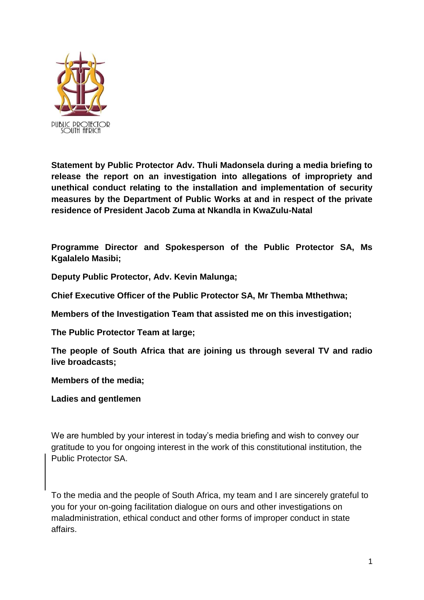

**Statement by Public Protector Adv. Thuli Madonsela during a media briefing to release the report on an investigation into allegations of impropriety and unethical conduct relating to the installation and implementation of security measures by the Department of Public Works at and in respect of the private residence of President Jacob Zuma at Nkandla in KwaZulu-Natal**

**Programme Director and Spokesperson of the Public Protector SA, Ms Kgalalelo Masibi;**

**Deputy Public Protector, Adv. Kevin Malunga;**

**Chief Executive Officer of the Public Protector SA, Mr Themba Mthethwa;**

**Members of the Investigation Team that assisted me on this investigation;**

**The Public Protector Team at large;**

**The people of South Africa that are joining us through several TV and radio live broadcasts;**

**Members of the media;**

**Ladies and gentlemen**

We are humbled by your interest in today's media briefing and wish to convey our gratitude to you for ongoing interest in the work of this constitutional institution, the Public Protector SA.

To the media and the people of South Africa, my team and I are sincerely grateful to you for your on-going facilitation dialogue on ours and other investigations on maladministration, ethical conduct and other forms of improper conduct in state affairs.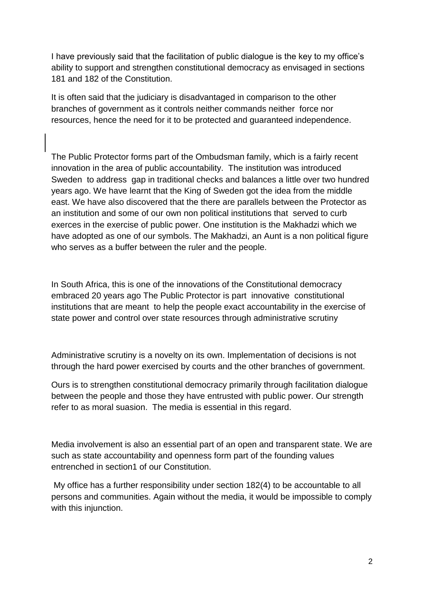I have previously said that the facilitation of public dialogue is the key to my office's ability to support and strengthen constitutional democracy as envisaged in sections 181 and 182 of the Constitution.

It is often said that the judiciary is disadvantaged in comparison to the other branches of government as it controls neither commands neither force nor resources, hence the need for it to be protected and guaranteed independence.

The Public Protector forms part of the Ombudsman family, which is a fairly recent innovation in the area of public accountability. The institution was introduced Sweden to address gap in traditional checks and balances a little over two hundred years ago. We have learnt that the King of Sweden got the idea from the middle east. We have also discovered that the there are parallels between the Protector as an institution and some of our own non political institutions that served to curb exerces in the exercise of public power. One institution is the Makhadzi which we have adopted as one of our symbols. The Makhadzi, an Aunt is a non political figure who serves as a buffer between the ruler and the people.

In South Africa, this is one of the innovations of the Constitutional democracy embraced 20 years ago The Public Protector is part innovative constitutional institutions that are meant to help the people exact accountability in the exercise of state power and control over state resources through administrative scrutiny

Administrative scrutiny is a novelty on its own. Implementation of decisions is not through the hard power exercised by courts and the other branches of government.

Ours is to strengthen constitutional democracy primarily through facilitation dialogue between the people and those they have entrusted with public power. Our strength refer to as moral suasion. The media is essential in this regard.

Media involvement is also an essential part of an open and transparent state. We are such as state accountability and openness form part of the founding values entrenched in section1 of our Constitution.

My office has a further responsibility under section 182(4) to be accountable to all persons and communities. Again without the media, it would be impossible to comply with this injunction.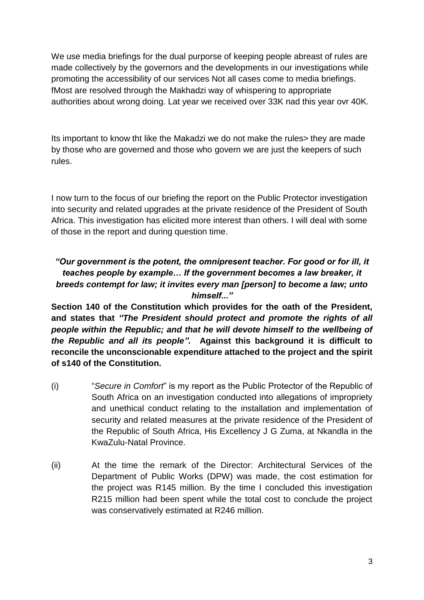We use media briefings for the dual purporse of keeping people abreast of rules are made collectively by the governors and the developments in our investigations while promoting the accessibility of our services Not all cases come to media briefings. fMost are resolved through the Makhadzi way of whispering to appropriate authorities about wrong doing. Lat year we received over 33K nad this year ovr 40K.

Its important to know tht like the Makadzi we do not make the rules> they are made by those who are governed and those who govern we are just the keepers of such rules.

I now turn to the focus of our briefing the report on the Public Protector investigation into security and related upgrades at the private residence of the President of South Africa. This investigation has elicited more interest than others. I will deal with some of those in the report and during question time.

# *"Our government is the potent, the omnipresent teacher. For good or for ill, it teaches people by example… If the government becomes a law breaker, it breeds contempt for law; it invites every man [person] to become a law; unto himself..."*

**Section 140 of the Constitution which provides for the oath of the President, and states that** *"The President should protect and promote the rights of all people within the Republic; and that he will devote himself to the wellbeing of the Republic and all its people".* **Against this background it is difficult to reconcile the unconscionable expenditure attached to the project and the spirit of s140 of the Constitution.** 

- (i) "*Secure in Comfort*" is my report as the Public Protector of the Republic of South Africa on an investigation conducted into allegations of impropriety and unethical conduct relating to the installation and implementation of security and related measures at the private residence of the President of the Republic of South Africa, His Excellency J G Zuma, at Nkandla in the KwaZulu-Natal Province.
- (ii) At the time the remark of the Director: Architectural Services of the Department of Public Works (DPW) was made, the cost estimation for the project was R145 million. By the time I concluded this investigation R215 million had been spent while the total cost to conclude the project was conservatively estimated at R246 million.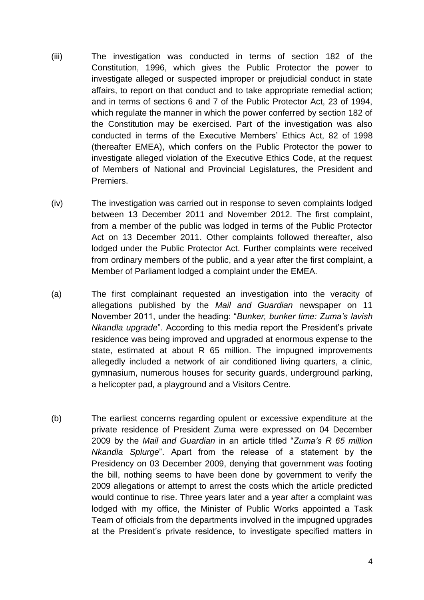- (iii) The investigation was conducted in terms of section 182 of the Constitution, 1996, which gives the Public Protector the power to investigate alleged or suspected improper or prejudicial conduct in state affairs, to report on that conduct and to take appropriate remedial action; and in terms of sections 6 and 7 of the Public Protector Act, 23 of 1994, which regulate the manner in which the power conferred by section 182 of the Constitution may be exercised. Part of the investigation was also conducted in terms of the Executive Members' Ethics Act, 82 of 1998 (thereafter EMEA), which confers on the Public Protector the power to investigate alleged violation of the Executive Ethics Code, at the request of Members of National and Provincial Legislatures, the President and Premiers.
- (iv) The investigation was carried out in response to seven complaints lodged between 13 December 2011 and November 2012. The first complaint, from a member of the public was lodged in terms of the Public Protector Act on 13 December 2011. Other complaints followed thereafter, also lodged under the Public Protector Act. Further complaints were received from ordinary members of the public, and a year after the first complaint, a Member of Parliament lodged a complaint under the EMEA.
- (a) The first complainant requested an investigation into the veracity of allegations published by the *Mail and Guardian* newspaper on 11 November 2011, under the heading: "*Bunker, bunker time: Zuma's lavish Nkandla upgrade*". According to this media report the President's private residence was being improved and upgraded at enormous expense to the state, estimated at about R 65 million. The impugned improvements allegedly included a network of air conditioned living quarters, a clinic, gymnasium, numerous houses for security guards, underground parking, a helicopter pad, a playground and a Visitors Centre.
- (b) The earliest concerns regarding opulent or excessive expenditure at the private residence of President Zuma were expressed on 04 December 2009 by the *Mail and Guardian* in an article titled "*Zuma's R 65 million Nkandla Splurge*". Apart from the release of a statement by the Presidency on 03 December 2009, denying that government was footing the bill, nothing seems to have been done by government to verify the 2009 allegations or attempt to arrest the costs which the article predicted would continue to rise. Three years later and a year after a complaint was lodged with my office, the Minister of Public Works appointed a Task Team of officials from the departments involved in the impugned upgrades at the President's private residence, to investigate specified matters in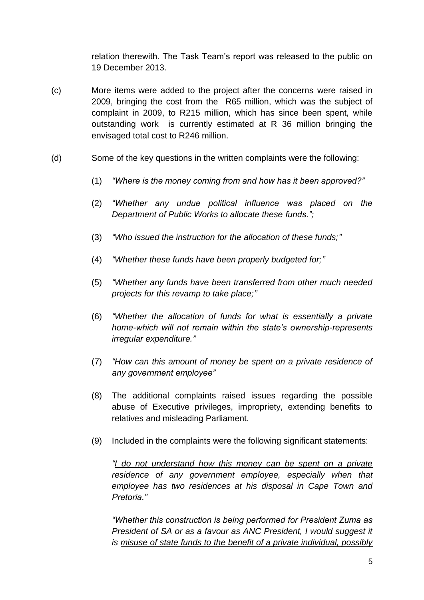relation therewith. The Task Team's report was released to the public on 19 December 2013.

- (c) More items were added to the project after the concerns were raised in 2009, bringing the cost from the R65 million, which was the subject of complaint in 2009, to R215 million, which has since been spent, while outstanding work is currently estimated at R 36 million bringing the envisaged total cost to R246 million.
- (d) Some of the key questions in the written complaints were the following:
	- (1) *"Where is the money coming from and how has it been approved?"*
	- (2) *"Whether any undue political influence was placed on the Department of Public Works to allocate these funds.";*
	- (3) *"Who issued the instruction for the allocation of these funds;"*
	- (4) *"Whether these funds have been properly budgeted for;"*
	- (5) *"Whether any funds have been transferred from other much needed projects for this revamp to take place;"*
	- (6) *"Whether the allocation of funds for what is essentially a private home-which will not remain within the state's ownership-represents irregular expenditure."*
	- (7) *"How can this amount of money be spent on a private residence of any government employee"*
	- (8) The additional complaints raised issues regarding the possible abuse of Executive privileges, impropriety, extending benefits to relatives and misleading Parliament.
	- (9) Included in the complaints were the following significant statements:

*"I do not understand how this money can be spent on a private residence of any government employee, especially when that employee has two residences at his disposal in Cape Town and Pretoria."*

*"Whether this construction is being performed for President Zuma as President of SA or as a favour as ANC President, I would suggest it is misuse of state funds to the benefit of a private individual, possibly*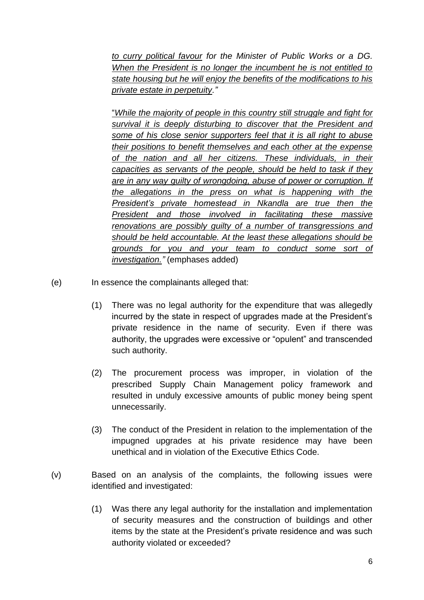*to curry political favour for the Minister of Public Works or a DG. When the President is no longer the incumbent he is not entitled to state housing but he will enjoy the benefits of the modifications to his private estate in perpetuity."*

"*While the majority of people in this country still struggle and fight for survival it is deeply disturbing to discover that the President and some of his close senior supporters feel that it is all right to abuse their positions to benefit themselves and each other at the expense of the nation and all her citizens. These individuals, in their capacities as servants of the people, should be held to task if they are in any way guilty of wrongdoing, abuse of power or corruption. If the allegations in the press on what is happening with the President's private homestead in Nkandla are true then the President and those involved in facilitating these massive renovations are possibly guilty of a number of transgressions and should be held accountable. At the least these allegations should be grounds for you and your team to conduct some sort of investigation."* (emphases added)

(e) In essence the complainants alleged that:

- (1) There was no legal authority for the expenditure that was allegedly incurred by the state in respect of upgrades made at the President's private residence in the name of security. Even if there was authority, the upgrades were excessive or "opulent" and transcended such authority.
- (2) The procurement process was improper, in violation of the prescribed Supply Chain Management policy framework and resulted in unduly excessive amounts of public money being spent unnecessarily.
- (3) The conduct of the President in relation to the implementation of the impugned upgrades at his private residence may have been unethical and in violation of the Executive Ethics Code.
- (v) Based on an analysis of the complaints, the following issues were identified and investigated:
	- (1) Was there any legal authority for the installation and implementation of security measures and the construction of buildings and other items by the state at the President's private residence and was such authority violated or exceeded?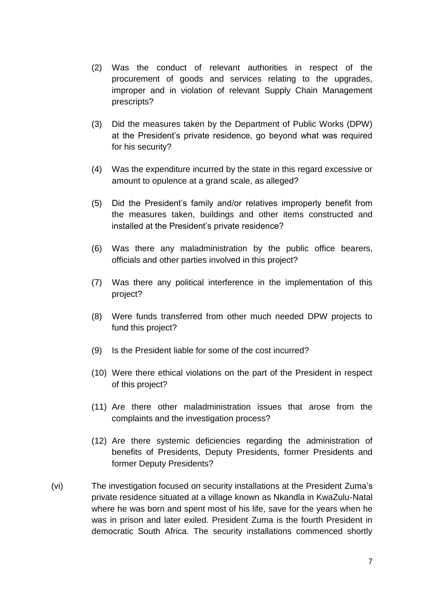- (2) Was the conduct of relevant authorities in respect of the procurement of goods and services relating to the upgrades, improper and in violation of relevant Supply Chain Management prescripts?
- (3) Did the measures taken by the Department of Public Works (DPW) at the President's private residence, go beyond what was required for his security?
- (4) Was the expenditure incurred by the state in this regard excessive or amount to opulence at a grand scale, as alleged?
- (5) Did the President's family and/or relatives improperly benefit from the measures taken, buildings and other items constructed and installed at the President's private residence?
- (6) Was there any maladministration by the public office bearers, officials and other parties involved in this project?
- (7) Was there any political interference in the implementation of this project?
- (8) Were funds transferred from other much needed DPW projects to fund this project?
- (9) Is the President liable for some of the cost incurred?
- (10) Were there ethical violations on the part of the President in respect of this project?
- (11) Are there other maladministration issues that arose from the complaints and the investigation process?
- (12) Are there systemic deficiencies regarding the administration of benefits of Presidents, Deputy Presidents, former Presidents and former Deputy Presidents?
- (vi) The investigation focused on security installations at the President Zuma's private residence situated at a village known as Nkandla in KwaZulu-Natal where he was born and spent most of his life, save for the years when he was in prison and later exiled. President Zuma is the fourth President in democratic South Africa. The security installations commenced shortly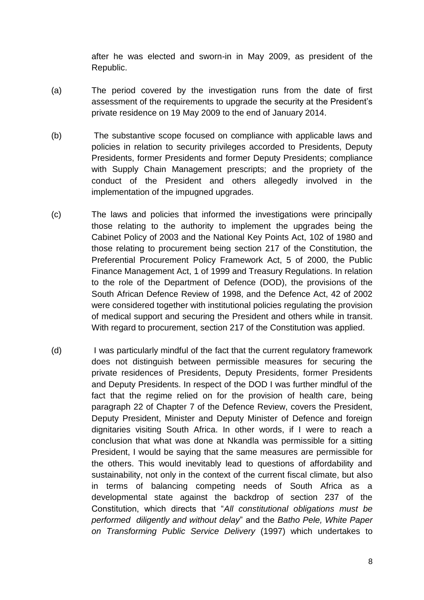after he was elected and sworn-in in May 2009, as president of the Republic.

- (a) The period covered by the investigation runs from the date of first assessment of the requirements to upgrade the security at the President's private residence on 19 May 2009 to the end of January 2014.
- (b) The substantive scope focused on compliance with applicable laws and policies in relation to security privileges accorded to Presidents, Deputy Presidents, former Presidents and former Deputy Presidents; compliance with Supply Chain Management prescripts; and the propriety of the conduct of the President and others allegedly involved in the implementation of the impugned upgrades.
- (c) The laws and policies that informed the investigations were principally those relating to the authority to implement the upgrades being the Cabinet Policy of 2003 and the National Key Points Act, 102 of 1980 and those relating to procurement being section 217 of the Constitution, the Preferential Procurement Policy Framework Act, 5 of 2000, the Public Finance Management Act, 1 of 1999 and Treasury Regulations. In relation to the role of the Department of Defence (DOD), the provisions of the South African Defence Review of 1998, and the Defence Act, 42 of 2002 were considered together with institutional policies regulating the provision of medical support and securing the President and others while in transit. With regard to procurement, section 217 of the Constitution was applied.
- (d) I was particularly mindful of the fact that the current regulatory framework does not distinguish between permissible measures for securing the private residences of Presidents, Deputy Presidents, former Presidents and Deputy Presidents. In respect of the DOD I was further mindful of the fact that the regime relied on for the provision of health care, being paragraph 22 of Chapter 7 of the Defence Review, covers the President, Deputy President, Minister and Deputy Minister of Defence and foreign dignitaries visiting South Africa. In other words, if I were to reach a conclusion that what was done at Nkandla was permissible for a sitting President, I would be saying that the same measures are permissible for the others. This would inevitably lead to questions of affordability and sustainability, not only in the context of the current fiscal climate, but also in terms of balancing competing needs of South Africa as a developmental state against the backdrop of section 237 of the Constitution, which directs that "*All constitutional obligations must be performed diligently and without delay*" and the *Batho Pele, White Paper on Transforming Public Service Delivery* (1997) which undertakes to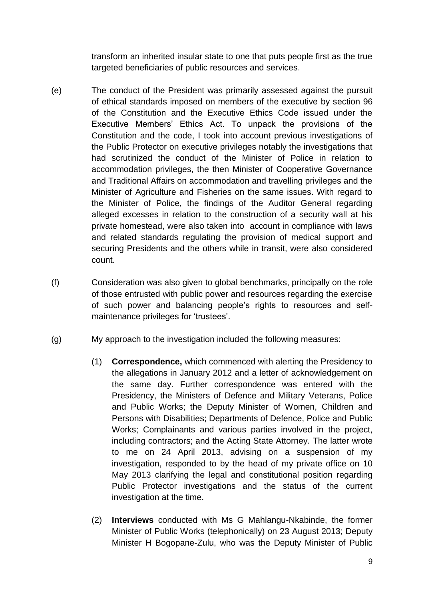transform an inherited insular state to one that puts people first as the true targeted beneficiaries of public resources and services.

- (e) The conduct of the President was primarily assessed against the pursuit of ethical standards imposed on members of the executive by section 96 of the Constitution and the Executive Ethics Code issued under the Executive Members' Ethics Act. To unpack the provisions of the Constitution and the code, I took into account previous investigations of the Public Protector on executive privileges notably the investigations that had scrutinized the conduct of the Minister of Police in relation to accommodation privileges, the then Minister of Cooperative Governance and Traditional Affairs on accommodation and travelling privileges and the Minister of Agriculture and Fisheries on the same issues. With regard to the Minister of Police, the findings of the Auditor General regarding alleged excesses in relation to the construction of a security wall at his private homestead, were also taken into account in compliance with laws and related standards regulating the provision of medical support and securing Presidents and the others while in transit, were also considered count.
- (f) Consideration was also given to global benchmarks, principally on the role of those entrusted with public power and resources regarding the exercise of such power and balancing people's rights to resources and selfmaintenance privileges for 'trustees'.
- (g) My approach to the investigation included the following measures:
	- (1) **Correspondence,** which commenced with alerting the Presidency to the allegations in January 2012 and a letter of acknowledgement on the same day. Further correspondence was entered with the Presidency, the Ministers of Defence and Military Veterans, Police and Public Works; the Deputy Minister of Women, Children and Persons with Disabilities; Departments of Defence, Police and Public Works; Complainants and various parties involved in the project, including contractors; and the Acting State Attorney. The latter wrote to me on 24 April 2013, advising on a suspension of my investigation, responded to by the head of my private office on 10 May 2013 clarifying the legal and constitutional position regarding Public Protector investigations and the status of the current investigation at the time.
	- (2) **Interviews** conducted with Ms G Mahlangu-Nkabinde, the former Minister of Public Works (telephonically) on 23 August 2013; Deputy Minister H Bogopane-Zulu, who was the Deputy Minister of Public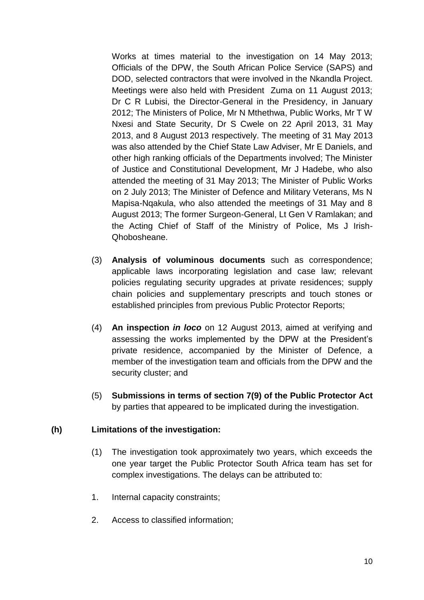Works at times material to the investigation on 14 May 2013; Officials of the DPW, the South African Police Service (SAPS) and DOD, selected contractors that were involved in the Nkandla Project. Meetings were also held with President Zuma on 11 August 2013; Dr C R Lubisi, the Director-General in the Presidency, in January 2012; The Ministers of Police, Mr N Mthethwa, Public Works, Mr T W Nxesi and State Security, Dr S Cwele on 22 April 2013, 31 May 2013, and 8 August 2013 respectively. The meeting of 31 May 2013 was also attended by the Chief State Law Adviser, Mr E Daniels, and other high ranking officials of the Departments involved; The Minister of Justice and Constitutional Development, Mr J Hadebe, who also attended the meeting of 31 May 2013; The Minister of Public Works on 2 July 2013; The Minister of Defence and Military Veterans, Ms N Mapisa-Nqakula, who also attended the meetings of 31 May and 8 August 2013; The former Surgeon-General, Lt Gen V Ramlakan; and the Acting Chief of Staff of the Ministry of Police, Ms J Irish-Qhobosheane.

- (3) **Analysis of voluminous documents** such as correspondence; applicable laws incorporating legislation and case law; relevant policies regulating security upgrades at private residences; supply chain policies and supplementary prescripts and touch stones or established principles from previous Public Protector Reports;
- (4) **An inspection** *in loco* on 12 August 2013, aimed at verifying and assessing the works implemented by the DPW at the President's private residence, accompanied by the Minister of Defence, a member of the investigation team and officials from the DPW and the security cluster; and
- (5) **Submissions in terms of section 7(9) of the Public Protector Act** by parties that appeared to be implicated during the investigation.

### **(h) Limitations of the investigation:**

- (1) The investigation took approximately two years, which exceeds the one year target the Public Protector South Africa team has set for complex investigations. The delays can be attributed to:
- 1. Internal capacity constraints;
- 2. Access to classified information;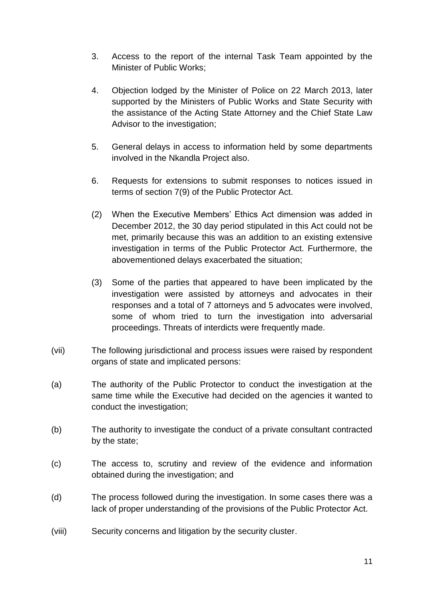- 3. Access to the report of the internal Task Team appointed by the Minister of Public Works;
- 4. Objection lodged by the Minister of Police on 22 March 2013, later supported by the Ministers of Public Works and State Security with the assistance of the Acting State Attorney and the Chief State Law Advisor to the investigation;
- 5. General delays in access to information held by some departments involved in the Nkandla Project also.
- 6. Requests for extensions to submit responses to notices issued in terms of section 7(9) of the Public Protector Act.
- (2) When the Executive Members' Ethics Act dimension was added in December 2012, the 30 day period stipulated in this Act could not be met, primarily because this was an addition to an existing extensive investigation in terms of the Public Protector Act. Furthermore, the abovementioned delays exacerbated the situation;
- (3) Some of the parties that appeared to have been implicated by the investigation were assisted by attorneys and advocates in their responses and a total of 7 attorneys and 5 advocates were involved, some of whom tried to turn the investigation into adversarial proceedings. Threats of interdicts were frequently made.
- (vii) The following jurisdictional and process issues were raised by respondent organs of state and implicated persons:
- (a) The authority of the Public Protector to conduct the investigation at the same time while the Executive had decided on the agencies it wanted to conduct the investigation;
- (b) The authority to investigate the conduct of a private consultant contracted by the state;
- (c) The access to, scrutiny and review of the evidence and information obtained during the investigation; and
- (d) The process followed during the investigation. In some cases there was a lack of proper understanding of the provisions of the Public Protector Act.
- (viii) Security concerns and litigation by the security cluster.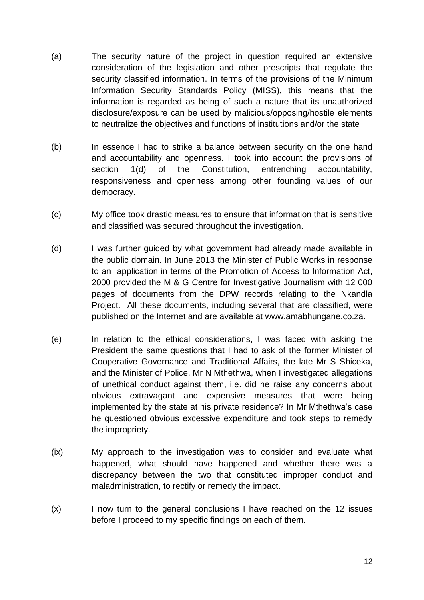- (a) The security nature of the project in question required an extensive consideration of the legislation and other prescripts that regulate the security classified information. In terms of the provisions of the Minimum Information Security Standards Policy (MISS), this means that the information is regarded as being of such a nature that its unauthorized disclosure/exposure can be used by malicious/opposing/hostile elements to neutralize the objectives and functions of institutions and/or the state
- (b) In essence I had to strike a balance between security on the one hand and accountability and openness. I took into account the provisions of section 1(d) of the Constitution, entrenching accountability, responsiveness and openness among other founding values of our democracy.
- (c) My office took drastic measures to ensure that information that is sensitive and classified was secured throughout the investigation.
- (d) I was further guided by what government had already made available in the public domain. In June 2013 the Minister of Public Works in response to an application in terms of the Promotion of Access to Information Act, 2000 provided the M & G Centre for Investigative Journalism with 12 000 pages of documents from the DPW records relating to the Nkandla Project. All these documents, including several that are classified, were published on the Internet and are available at www.amabhungane.co.za.
- (e) In relation to the ethical considerations, I was faced with asking the President the same questions that I had to ask of the former Minister of Cooperative Governance and Traditional Affairs, the late Mr S Shiceka, and the Minister of Police, Mr N Mthethwa, when I investigated allegations of unethical conduct against them, i.e. did he raise any concerns about obvious extravagant and expensive measures that were being implemented by the state at his private residence? In Mr Mthethwa's case he questioned obvious excessive expenditure and took steps to remedy the impropriety.
- (ix) My approach to the investigation was to consider and evaluate what happened, what should have happened and whether there was a discrepancy between the two that constituted improper conduct and maladministration, to rectify or remedy the impact.
- (x) I now turn to the general conclusions I have reached on the 12 issues before I proceed to my specific findings on each of them.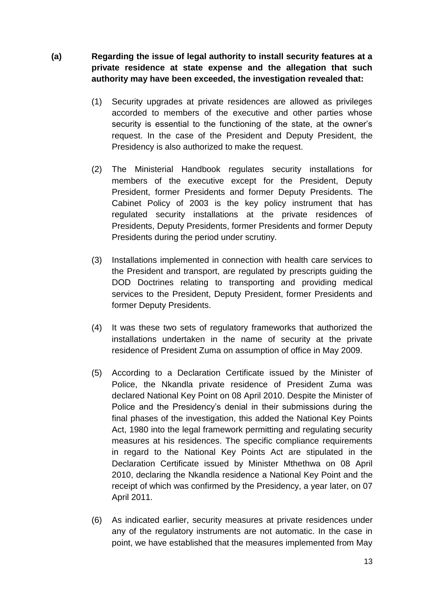- **(a) Regarding the issue of legal authority to install security features at a private residence at state expense and the allegation that such authority may have been exceeded, the investigation revealed that:**
	- (1) Security upgrades at private residences are allowed as privileges accorded to members of the executive and other parties whose security is essential to the functioning of the state, at the owner's request. In the case of the President and Deputy President, the Presidency is also authorized to make the request.
	- (2) The Ministerial Handbook regulates security installations for members of the executive except for the President, Deputy President, former Presidents and former Deputy Presidents. The Cabinet Policy of 2003 is the key policy instrument that has regulated security installations at the private residences of Presidents, Deputy Presidents, former Presidents and former Deputy Presidents during the period under scrutiny.
	- (3) Installations implemented in connection with health care services to the President and transport, are regulated by prescripts guiding the DOD Doctrines relating to transporting and providing medical services to the President, Deputy President, former Presidents and former Deputy Presidents.
	- (4) It was these two sets of regulatory frameworks that authorized the installations undertaken in the name of security at the private residence of President Zuma on assumption of office in May 2009.
	- (5) According to a Declaration Certificate issued by the Minister of Police, the Nkandla private residence of President Zuma was declared National Key Point on 08 April 2010. Despite the Minister of Police and the Presidency's denial in their submissions during the final phases of the investigation, this added the National Key Points Act, 1980 into the legal framework permitting and regulating security measures at his residences. The specific compliance requirements in regard to the National Key Points Act are stipulated in the Declaration Certificate issued by Minister Mthethwa on 08 April 2010, declaring the Nkandla residence a National Key Point and the receipt of which was confirmed by the Presidency, a year later, on 07 April 2011.
	- (6) As indicated earlier, security measures at private residences under any of the regulatory instruments are not automatic. In the case in point, we have established that the measures implemented from May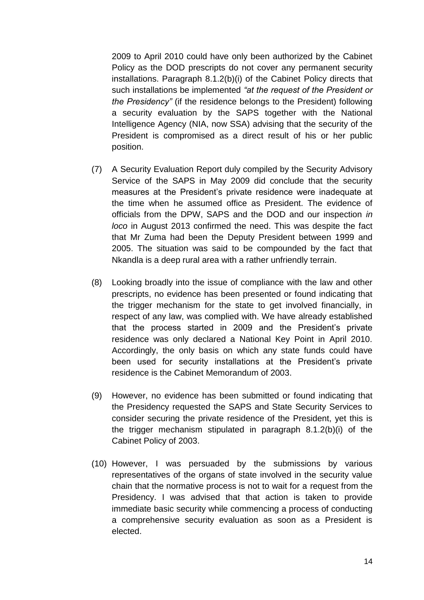2009 to April 2010 could have only been authorized by the Cabinet Policy as the DOD prescripts do not cover any permanent security installations. Paragraph 8.1.2(b)(i) of the Cabinet Policy directs that such installations be implemented *"at the request of the President or the Presidency"* (if the residence belongs to the President) following a security evaluation by the SAPS together with the National Intelligence Agency (NIA, now SSA) advising that the security of the President is compromised as a direct result of his or her public position.

- (7) A Security Evaluation Report duly compiled by the Security Advisory Service of the SAPS in May 2009 did conclude that the security measures at the President's private residence were inadequate at the time when he assumed office as President. The evidence of officials from the DPW, SAPS and the DOD and our inspection *in loco* in August 2013 confirmed the need. This was despite the fact that Mr Zuma had been the Deputy President between 1999 and 2005. The situation was said to be compounded by the fact that Nkandla is a deep rural area with a rather unfriendly terrain.
- (8) Looking broadly into the issue of compliance with the law and other prescripts, no evidence has been presented or found indicating that the trigger mechanism for the state to get involved financially, in respect of any law, was complied with. We have already established that the process started in 2009 and the President's private residence was only declared a National Key Point in April 2010. Accordingly, the only basis on which any state funds could have been used for security installations at the President's private residence is the Cabinet Memorandum of 2003.
- (9) However, no evidence has been submitted or found indicating that the Presidency requested the SAPS and State Security Services to consider securing the private residence of the President, yet this is the trigger mechanism stipulated in paragraph 8.1.2(b)(i) of the Cabinet Policy of 2003.
- (10) However, I was persuaded by the submissions by various representatives of the organs of state involved in the security value chain that the normative process is not to wait for a request from the Presidency. I was advised that that action is taken to provide immediate basic security while commencing a process of conducting a comprehensive security evaluation as soon as a President is elected.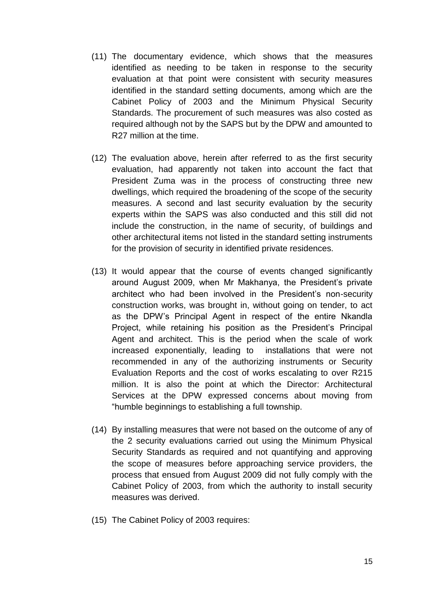- (11) The documentary evidence, which shows that the measures identified as needing to be taken in response to the security evaluation at that point were consistent with security measures identified in the standard setting documents, among which are the Cabinet Policy of 2003 and the Minimum Physical Security Standards. The procurement of such measures was also costed as required although not by the SAPS but by the DPW and amounted to R27 million at the time.
- (12) The evaluation above, herein after referred to as the first security evaluation, had apparently not taken into account the fact that President Zuma was in the process of constructing three new dwellings, which required the broadening of the scope of the security measures. A second and last security evaluation by the security experts within the SAPS was also conducted and this still did not include the construction, in the name of security, of buildings and other architectural items not listed in the standard setting instruments for the provision of security in identified private residences.
- (13) It would appear that the course of events changed significantly around August 2009, when Mr Makhanya, the President's private architect who had been involved in the President's non-security construction works, was brought in, without going on tender, to act as the DPW's Principal Agent in respect of the entire Nkandla Project, while retaining his position as the President's Principal Agent and architect. This is the period when the scale of work increased exponentially, leading to installations that were not recommended in any of the authorizing instruments or Security Evaluation Reports and the cost of works escalating to over R215 million. It is also the point at which the Director: Architectural Services at the DPW expressed concerns about moving from "humble beginnings to establishing a full township.
- (14) By installing measures that were not based on the outcome of any of the 2 security evaluations carried out using the Minimum Physical Security Standards as required and not quantifying and approving the scope of measures before approaching service providers, the process that ensued from August 2009 did not fully comply with the Cabinet Policy of 2003, from which the authority to install security measures was derived.
- (15) The Cabinet Policy of 2003 requires: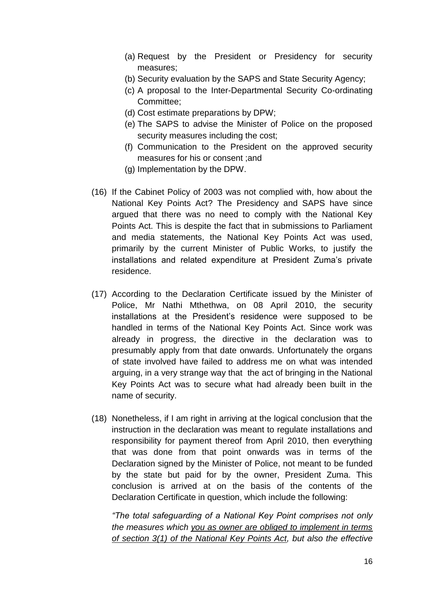- (a) Request by the President or Presidency for security measures;
- (b) Security evaluation by the SAPS and State Security Agency;
- (c) A proposal to the Inter-Departmental Security Co-ordinating Committee;
- (d) Cost estimate preparations by DPW;
- (e) The SAPS to advise the Minister of Police on the proposed security measures including the cost;
- (f) Communication to the President on the approved security measures for his or consent ;and
- (g) Implementation by the DPW.
- (16) If the Cabinet Policy of 2003 was not complied with, how about the National Key Points Act? The Presidency and SAPS have since argued that there was no need to comply with the National Key Points Act. This is despite the fact that in submissions to Parliament and media statements, the National Key Points Act was used, primarily by the current Minister of Public Works, to justify the installations and related expenditure at President Zuma's private residence.
- (17) According to the Declaration Certificate issued by the Minister of Police, Mr Nathi Mthethwa, on 08 April 2010, the security installations at the President's residence were supposed to be handled in terms of the National Key Points Act. Since work was already in progress, the directive in the declaration was to presumably apply from that date onwards. Unfortunately the organs of state involved have failed to address me on what was intended arguing, in a very strange way that the act of bringing in the National Key Points Act was to secure what had already been built in the name of security.
- (18) Nonetheless, if I am right in arriving at the logical conclusion that the instruction in the declaration was meant to regulate installations and responsibility for payment thereof from April 2010, then everything that was done from that point onwards was in terms of the Declaration signed by the Minister of Police, not meant to be funded by the state but paid for by the owner, President Zuma. This conclusion is arrived at on the basis of the contents of the Declaration Certificate in question, which include the following:

*"The total safeguarding of a National Key Point comprises not only the measures which you as owner are obliged to implement in terms of section 3(1) of the National Key Points Act, but also the effective*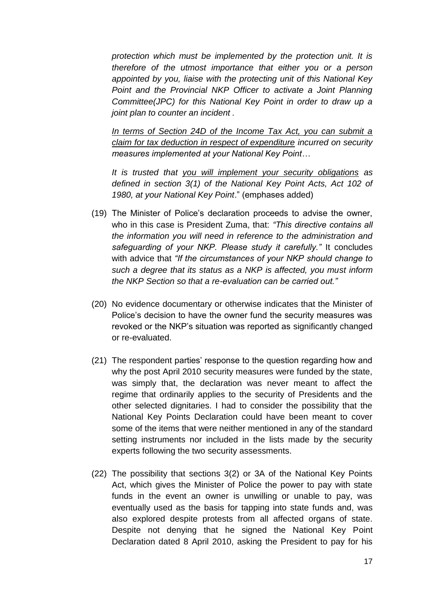*protection which must be implemented by the protection unit. It is therefore of the utmost importance that either you or a person appointed by you, liaise with the protecting unit of this National Key Point and the Provincial NKP Officer to activate a Joint Planning Committee(JPC) for this National Key Point in order to draw up a joint plan to counter an incident .*

*In terms of Section 24D of the Income Tax Act, you can submit a claim for tax deduction in respect of expenditure incurred on security measures implemented at your National Key Point…*

*It is trusted that you will implement your security obligations as defined in section 3(1) of the National Key Point Acts, Act 102 of 1980, at your National Key Point*." (emphases added)

- (19) The Minister of Police's declaration proceeds to advise the owner, who in this case is President Zuma, that: *"This directive contains all the information you will need in reference to the administration and safeguarding of your NKP. Please study it carefully."* It concludes with advice that *"If the circumstances of your NKP should change to such a degree that its status as a NKP is affected, you must inform the NKP Section so that a re-evaluation can be carried out."*
- (20) No evidence documentary or otherwise indicates that the Minister of Police's decision to have the owner fund the security measures was revoked or the NKP's situation was reported as significantly changed or re-evaluated.
- (21) The respondent parties' response to the question regarding how and why the post April 2010 security measures were funded by the state, was simply that, the declaration was never meant to affect the regime that ordinarily applies to the security of Presidents and the other selected dignitaries. I had to consider the possibility that the National Key Points Declaration could have been meant to cover some of the items that were neither mentioned in any of the standard setting instruments nor included in the lists made by the security experts following the two security assessments.
- (22) The possibility that sections 3(2) or 3A of the National Key Points Act, which gives the Minister of Police the power to pay with state funds in the event an owner is unwilling or unable to pay, was eventually used as the basis for tapping into state funds and, was also explored despite protests from all affected organs of state. Despite not denying that he signed the National Key Point Declaration dated 8 April 2010, asking the President to pay for his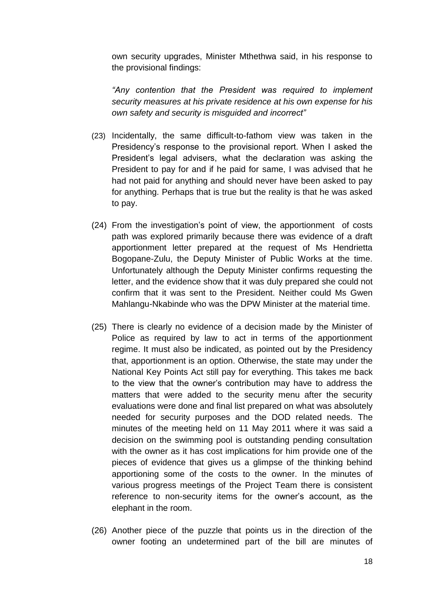own security upgrades, Minister Mthethwa said, in his response to the provisional findings:

*"Any contention that the President was required to implement security measures at his private residence at his own expense for his own safety and security is misguided and incorrect"*

- (23) Incidentally, the same difficult-to-fathom view was taken in the Presidency's response to the provisional report. When I asked the President's legal advisers, what the declaration was asking the President to pay for and if he paid for same, I was advised that he had not paid for anything and should never have been asked to pay for anything. Perhaps that is true but the reality is that he was asked to pay.
- (24) From the investigation's point of view, the apportionment of costs path was explored primarily because there was evidence of a draft apportionment letter prepared at the request of Ms Hendrietta Bogopane-Zulu, the Deputy Minister of Public Works at the time. Unfortunately although the Deputy Minister confirms requesting the letter, and the evidence show that it was duly prepared she could not confirm that it was sent to the President. Neither could Ms Gwen Mahlangu-Nkabinde who was the DPW Minister at the material time.
- (25) There is clearly no evidence of a decision made by the Minister of Police as required by law to act in terms of the apportionment regime. It must also be indicated, as pointed out by the Presidency that, apportionment is an option. Otherwise, the state may under the National Key Points Act still pay for everything. This takes me back to the view that the owner's contribution may have to address the matters that were added to the security menu after the security evaluations were done and final list prepared on what was absolutely needed for security purposes and the DOD related needs. The minutes of the meeting held on 11 May 2011 where it was said a decision on the swimming pool is outstanding pending consultation with the owner as it has cost implications for him provide one of the pieces of evidence that gives us a glimpse of the thinking behind apportioning some of the costs to the owner. In the minutes of various progress meetings of the Project Team there is consistent reference to non-security items for the owner's account, as the elephant in the room.
- (26) Another piece of the puzzle that points us in the direction of the owner footing an undetermined part of the bill are minutes of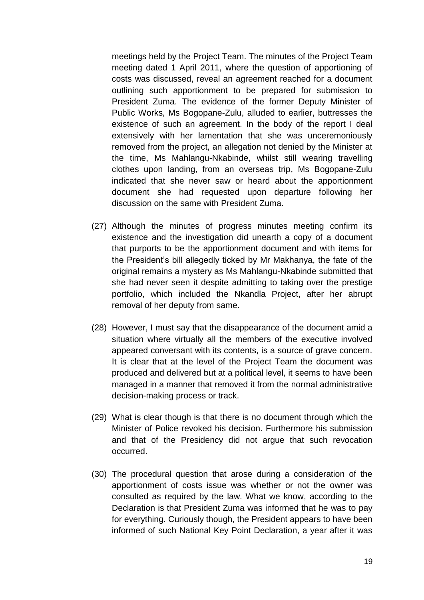meetings held by the Project Team. The minutes of the Project Team meeting dated 1 April 2011, where the question of apportioning of costs was discussed, reveal an agreement reached for a document outlining such apportionment to be prepared for submission to President Zuma. The evidence of the former Deputy Minister of Public Works, Ms Bogopane-Zulu, alluded to earlier, buttresses the existence of such an agreement. In the body of the report I deal extensively with her lamentation that she was unceremoniously removed from the project, an allegation not denied by the Minister at the time, Ms Mahlangu-Nkabinde, whilst still wearing travelling clothes upon landing, from an overseas trip, Ms Bogopane-Zulu indicated that she never saw or heard about the apportionment document she had requested upon departure following her discussion on the same with President Zuma.

- (27) Although the minutes of progress minutes meeting confirm its existence and the investigation did unearth a copy of a document that purports to be the apportionment document and with items for the President's bill allegedly ticked by Mr Makhanya, the fate of the original remains a mystery as Ms Mahlangu-Nkabinde submitted that she had never seen it despite admitting to taking over the prestige portfolio, which included the Nkandla Project, after her abrupt removal of her deputy from same.
- (28) However, I must say that the disappearance of the document amid a situation where virtually all the members of the executive involved appeared conversant with its contents, is a source of grave concern. It is clear that at the level of the Project Team the document was produced and delivered but at a political level, it seems to have been managed in a manner that removed it from the normal administrative decision-making process or track.
- (29) What is clear though is that there is no document through which the Minister of Police revoked his decision. Furthermore his submission and that of the Presidency did not argue that such revocation occurred.
- (30) The procedural question that arose during a consideration of the apportionment of costs issue was whether or not the owner was consulted as required by the law. What we know, according to the Declaration is that President Zuma was informed that he was to pay for everything. Curiously though, the President appears to have been informed of such National Key Point Declaration, a year after it was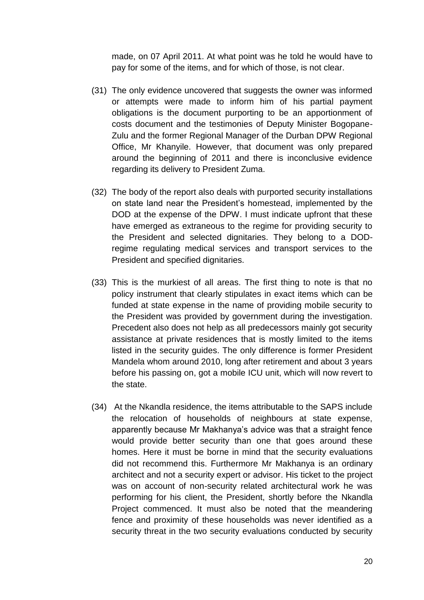made, on 07 April 2011. At what point was he told he would have to pay for some of the items, and for which of those, is not clear.

- (31) The only evidence uncovered that suggests the owner was informed or attempts were made to inform him of his partial payment obligations is the document purporting to be an apportionment of costs document and the testimonies of Deputy Minister Bogopane-Zulu and the former Regional Manager of the Durban DPW Regional Office, Mr Khanyile. However, that document was only prepared around the beginning of 2011 and there is inconclusive evidence regarding its delivery to President Zuma.
- (32) The body of the report also deals with purported security installations on state land near the President's homestead, implemented by the DOD at the expense of the DPW. I must indicate upfront that these have emerged as extraneous to the regime for providing security to the President and selected dignitaries. They belong to a DODregime regulating medical services and transport services to the President and specified dignitaries.
- (33) This is the murkiest of all areas. The first thing to note is that no policy instrument that clearly stipulates in exact items which can be funded at state expense in the name of providing mobile security to the President was provided by government during the investigation. Precedent also does not help as all predecessors mainly got security assistance at private residences that is mostly limited to the items listed in the security guides. The only difference is former President Mandela whom around 2010, long after retirement and about 3 years before his passing on, got a mobile ICU unit, which will now revert to the state.
- (34) At the Nkandla residence, the items attributable to the SAPS include the relocation of households of neighbours at state expense, apparently because Mr Makhanya's advice was that a straight fence would provide better security than one that goes around these homes. Here it must be borne in mind that the security evaluations did not recommend this. Furthermore Mr Makhanya is an ordinary architect and not a security expert or advisor. His ticket to the project was on account of non-security related architectural work he was performing for his client, the President, shortly before the Nkandla Project commenced. It must also be noted that the meandering fence and proximity of these households was never identified as a security threat in the two security evaluations conducted by security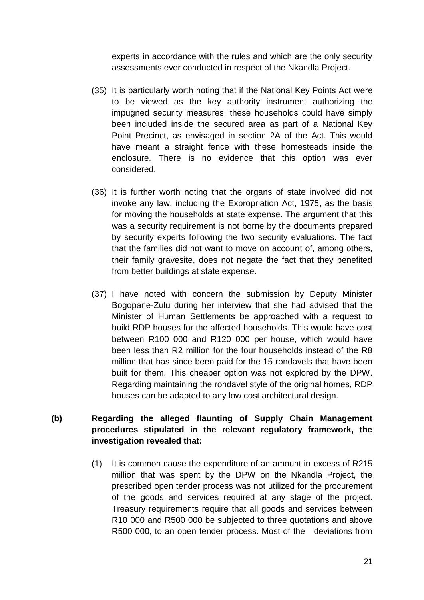experts in accordance with the rules and which are the only security assessments ever conducted in respect of the Nkandla Project.

- (35) It is particularly worth noting that if the National Key Points Act were to be viewed as the key authority instrument authorizing the impugned security measures, these households could have simply been included inside the secured area as part of a National Key Point Precinct, as envisaged in section 2A of the Act. This would have meant a straight fence with these homesteads inside the enclosure. There is no evidence that this option was ever considered.
- (36) It is further worth noting that the organs of state involved did not invoke any law, including the Expropriation Act, 1975, as the basis for moving the households at state expense. The argument that this was a security requirement is not borne by the documents prepared by security experts following the two security evaluations. The fact that the families did not want to move on account of, among others, their family gravesite, does not negate the fact that they benefited from better buildings at state expense.
- (37) I have noted with concern the submission by Deputy Minister Bogopane-Zulu during her interview that she had advised that the Minister of Human Settlements be approached with a request to build RDP houses for the affected households. This would have cost between R100 000 and R120 000 per house, which would have been less than R2 million for the four households instead of the R8 million that has since been paid for the 15 rondavels that have been built for them. This cheaper option was not explored by the DPW. Regarding maintaining the rondavel style of the original homes, RDP houses can be adapted to any low cost architectural design.

## **(b) Regarding the alleged flaunting of Supply Chain Management procedures stipulated in the relevant regulatory framework, the investigation revealed that:**

(1) It is common cause the expenditure of an amount in excess of R215 million that was spent by the DPW on the Nkandla Project, the prescribed open tender process was not utilized for the procurement of the goods and services required at any stage of the project. Treasury requirements require that all goods and services between R10 000 and R500 000 be subjected to three quotations and above R500 000, to an open tender process. Most of the deviations from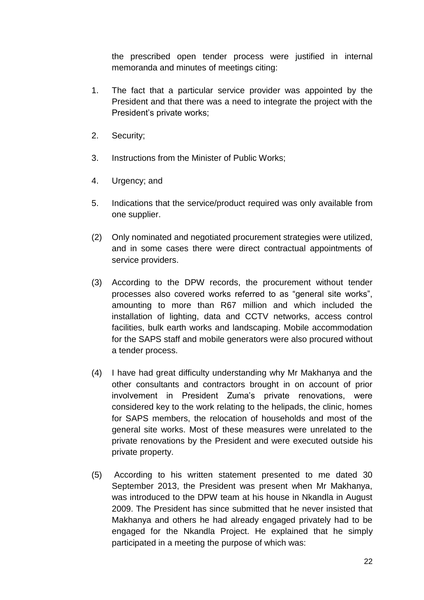the prescribed open tender process were justified in internal memoranda and minutes of meetings citing:

- 1. The fact that a particular service provider was appointed by the President and that there was a need to integrate the project with the President's private works;
- 2. Security;
- 3. Instructions from the Minister of Public Works;
- 4. Urgency; and
- 5. Indications that the service/product required was only available from one supplier.
- (2) Only nominated and negotiated procurement strategies were utilized, and in some cases there were direct contractual appointments of service providers.
- (3) According to the DPW records, the procurement without tender processes also covered works referred to as "general site works", amounting to more than R67 million and which included the installation of lighting, data and CCTV networks, access control facilities, bulk earth works and landscaping. Mobile accommodation for the SAPS staff and mobile generators were also procured without a tender process.
- (4) I have had great difficulty understanding why Mr Makhanya and the other consultants and contractors brought in on account of prior involvement in President Zuma's private renovations, were considered key to the work relating to the helipads, the clinic, homes for SAPS members, the relocation of households and most of the general site works. Most of these measures were unrelated to the private renovations by the President and were executed outside his private property.
- (5) According to his written statement presented to me dated 30 September 2013, the President was present when Mr Makhanya, was introduced to the DPW team at his house in Nkandla in August 2009. The President has since submitted that he never insisted that Makhanya and others he had already engaged privately had to be engaged for the Nkandla Project. He explained that he simply participated in a meeting the purpose of which was: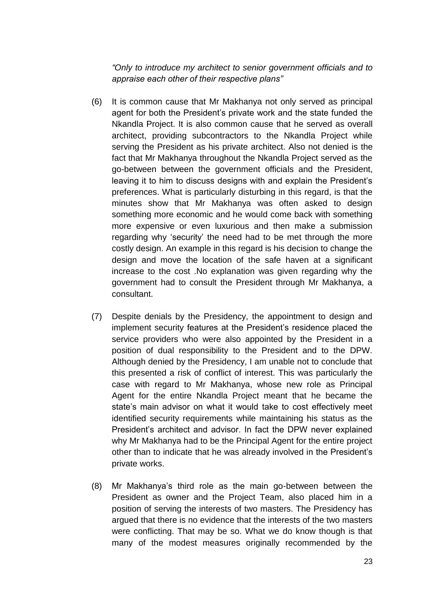*"Only to introduce my architect to senior government officials and to appraise each other of their respective plans"* 

- (6) It is common cause that Mr Makhanya not only served as principal agent for both the President's private work and the state funded the Nkandla Project. It is also common cause that he served as overall architect, providing subcontractors to the Nkandla Project while serving the President as his private architect. Also not denied is the fact that Mr Makhanya throughout the Nkandla Project served as the go-between between the government officials and the President, leaving it to him to discuss designs with and explain the President's preferences. What is particularly disturbing in this regard, is that the minutes show that Mr Makhanya was often asked to design something more economic and he would come back with something more expensive or even luxurious and then make a submission regarding why 'security' the need had to be met through the more costly design. An example in this regard is his decision to change the design and move the location of the safe haven at a significant increase to the cost .No explanation was given regarding why the government had to consult the President through Mr Makhanya, a consultant.
- (7) Despite denials by the Presidency, the appointment to design and implement security features at the President's residence placed the service providers who were also appointed by the President in a position of dual responsibility to the President and to the DPW. Although denied by the Presidency, I am unable not to conclude that this presented a risk of conflict of interest. This was particularly the case with regard to Mr Makhanya, whose new role as Principal Agent for the entire Nkandla Project meant that he became the state's main advisor on what it would take to cost effectively meet identified security requirements while maintaining his status as the President's architect and advisor. In fact the DPW never explained why Mr Makhanya had to be the Principal Agent for the entire project other than to indicate that he was already involved in the President's private works.
- (8) Mr Makhanya's third role as the main go-between between the President as owner and the Project Team, also placed him in a position of serving the interests of two masters. The Presidency has argued that there is no evidence that the interests of the two masters were conflicting. That may be so. What we do know though is that many of the modest measures originally recommended by the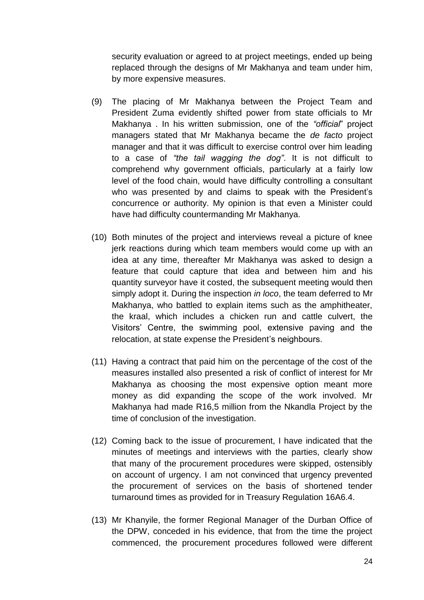security evaluation or agreed to at project meetings, ended up being replaced through the designs of Mr Makhanya and team under him, by more expensive measures.

- (9) The placing of Mr Makhanya between the Project Team and President Zuma evidently shifted power from state officials to Mr Makhanya . In his written submission, one of the *"official*" project managers stated that Mr Makhanya became the *de facto* project manager and that it was difficult to exercise control over him leading to a case of *"the tail wagging the dog"*. It is not difficult to comprehend why government officials, particularly at a fairly low level of the food chain, would have difficulty controlling a consultant who was presented by and claims to speak with the President's concurrence or authority. My opinion is that even a Minister could have had difficulty countermanding Mr Makhanya.
- (10) Both minutes of the project and interviews reveal a picture of knee jerk reactions during which team members would come up with an idea at any time, thereafter Mr Makhanya was asked to design a feature that could capture that idea and between him and his quantity surveyor have it costed, the subsequent meeting would then simply adopt it. During the inspection *in loco*, the team deferred to Mr Makhanya, who battled to explain items such as the amphitheater, the kraal, which includes a chicken run and cattle culvert, the Visitors' Centre, the swimming pool, extensive paving and the relocation, at state expense the President's neighbours.
- (11) Having a contract that paid him on the percentage of the cost of the measures installed also presented a risk of conflict of interest for Mr Makhanya as choosing the most expensive option meant more money as did expanding the scope of the work involved. Mr Makhanya had made R16,5 million from the Nkandla Project by the time of conclusion of the investigation.
- (12) Coming back to the issue of procurement, I have indicated that the minutes of meetings and interviews with the parties, clearly show that many of the procurement procedures were skipped, ostensibly on account of urgency. I am not convinced that urgency prevented the procurement of services on the basis of shortened tender turnaround times as provided for in Treasury Regulation 16A6.4.
- (13) Mr Khanyile, the former Regional Manager of the Durban Office of the DPW, conceded in his evidence, that from the time the project commenced, the procurement procedures followed were different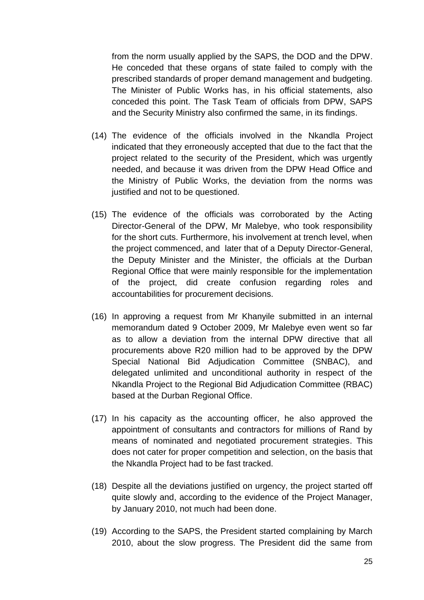from the norm usually applied by the SAPS, the DOD and the DPW. He conceded that these organs of state failed to comply with the prescribed standards of proper demand management and budgeting. The Minister of Public Works has, in his official statements, also conceded this point. The Task Team of officials from DPW, SAPS and the Security Ministry also confirmed the same, in its findings.

- (14) The evidence of the officials involved in the Nkandla Project indicated that they erroneously accepted that due to the fact that the project related to the security of the President, which was urgently needed, and because it was driven from the DPW Head Office and the Ministry of Public Works, the deviation from the norms was justified and not to be questioned.
- (15) The evidence of the officials was corroborated by the Acting Director-General of the DPW, Mr Malebye, who took responsibility for the short cuts. Furthermore, his involvement at trench level, when the project commenced, and later that of a Deputy Director-General, the Deputy Minister and the Minister, the officials at the Durban Regional Office that were mainly responsible for the implementation of the project, did create confusion regarding roles and accountabilities for procurement decisions.
- (16) In approving a request from Mr Khanyile submitted in an internal memorandum dated 9 October 2009, Mr Malebye even went so far as to allow a deviation from the internal DPW directive that all procurements above R20 million had to be approved by the DPW Special National Bid Adjudication Committee (SNBAC), and delegated unlimited and unconditional authority in respect of the Nkandla Project to the Regional Bid Adjudication Committee (RBAC) based at the Durban Regional Office.
- (17) In his capacity as the accounting officer, he also approved the appointment of consultants and contractors for millions of Rand by means of nominated and negotiated procurement strategies. This does not cater for proper competition and selection, on the basis that the Nkandla Project had to be fast tracked.
- (18) Despite all the deviations justified on urgency, the project started off quite slowly and, according to the evidence of the Project Manager, by January 2010, not much had been done.
- (19) According to the SAPS, the President started complaining by March 2010, about the slow progress. The President did the same from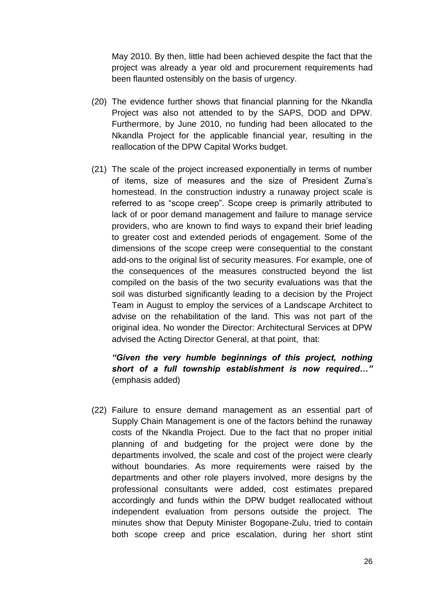May 2010. By then, little had been achieved despite the fact that the project was already a year old and procurement requirements had been flaunted ostensibly on the basis of urgency.

- (20) The evidence further shows that financial planning for the Nkandla Project was also not attended to by the SAPS, DOD and DPW. Furthermore, by June 2010, no funding had been allocated to the Nkandla Project for the applicable financial year, resulting in the reallocation of the DPW Capital Works budget.
- (21) The scale of the project increased exponentially in terms of number of items, size of measures and the size of President Zuma's homestead. In the construction industry a runaway project scale is referred to as "scope creep". Scope creep is primarily attributed to lack of or poor demand management and failure to manage service providers, who are known to find ways to expand their brief leading to greater cost and extended periods of engagement. Some of the dimensions of the scope creep were consequential to the constant add-ons to the original list of security measures. For example, one of the consequences of the measures constructed beyond the list compiled on the basis of the two security evaluations was that the soil was disturbed significantly leading to a decision by the Project Team in August to employ the services of a Landscape Architect to advise on the rehabilitation of the land. This was not part of the original idea. No wonder the Director: Architectural Services at DPW advised the Acting Director General, at that point, that:

### *"Given the very humble beginnings of this project, nothing short of a full township establishment is now required…"* (emphasis added)

(22) Failure to ensure demand management as an essential part of Supply Chain Management is one of the factors behind the runaway costs of the Nkandla Project. Due to the fact that no proper initial planning of and budgeting for the project were done by the departments involved, the scale and cost of the project were clearly without boundaries. As more requirements were raised by the departments and other role players involved, more designs by the professional consultants were added, cost estimates prepared accordingly and funds within the DPW budget reallocated without independent evaluation from persons outside the project. The minutes show that Deputy Minister Bogopane-Zulu, tried to contain both scope creep and price escalation, during her short stint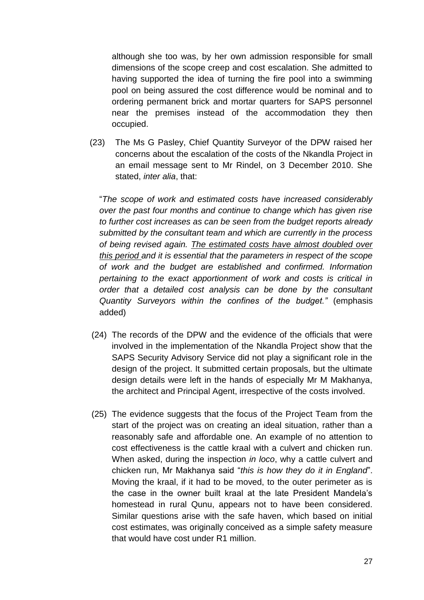although she too was, by her own admission responsible for small dimensions of the scope creep and cost escalation. She admitted to having supported the idea of turning the fire pool into a swimming pool on being assured the cost difference would be nominal and to ordering permanent brick and mortar quarters for SAPS personnel near the premises instead of the accommodation they then occupied.

(23) The Ms G Pasley, Chief Quantity Surveyor of the DPW raised her concerns about the escalation of the costs of the Nkandla Project in an email message sent to Mr Rindel, on 3 December 2010. She stated, *inter alia*, that:

"*The scope of work and estimated costs have increased considerably over the past four months and continue to change which has given rise to further cost increases as can be seen from the budget reports already submitted by the consultant team and which are currently in the process of being revised again. The estimated costs have almost doubled over this period and it is essential that the parameters in respect of the scope of work and the budget are established and confirmed. Information pertaining to the exact apportionment of work and costs is critical in order that a detailed cost analysis can be done by the consultant Quantity Surveyors within the confines of the budget."* (emphasis added)

- (24) The records of the DPW and the evidence of the officials that were involved in the implementation of the Nkandla Project show that the SAPS Security Advisory Service did not play a significant role in the design of the project. It submitted certain proposals, but the ultimate design details were left in the hands of especially Mr M Makhanya, the architect and Principal Agent, irrespective of the costs involved.
- (25) The evidence suggests that the focus of the Project Team from the start of the project was on creating an ideal situation, rather than a reasonably safe and affordable one. An example of no attention to cost effectiveness is the cattle kraal with a culvert and chicken run. When asked, during the inspection *in loco*, why a cattle culvert and chicken run, Mr Makhanya said "*this is how they do it in England*". Moving the kraal, if it had to be moved, to the outer perimeter as is the case in the owner built kraal at the late President Mandela's homestead in rural Qunu, appears not to have been considered. Similar questions arise with the safe haven, which based on initial cost estimates, was originally conceived as a simple safety measure that would have cost under R1 million.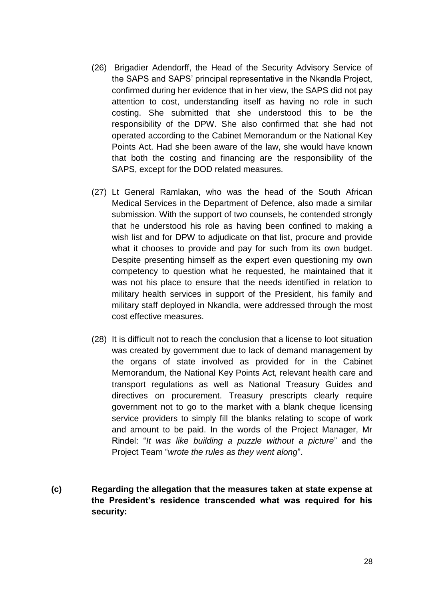- (26) Brigadier Adendorff, the Head of the Security Advisory Service of the SAPS and SAPS' principal representative in the Nkandla Project, confirmed during her evidence that in her view, the SAPS did not pay attention to cost, understanding itself as having no role in such costing. She submitted that she understood this to be the responsibility of the DPW. She also confirmed that she had not operated according to the Cabinet Memorandum or the National Key Points Act. Had she been aware of the law, she would have known that both the costing and financing are the responsibility of the SAPS, except for the DOD related measures.
- (27) Lt General Ramlakan, who was the head of the South African Medical Services in the Department of Defence, also made a similar submission. With the support of two counsels, he contended strongly that he understood his role as having been confined to making a wish list and for DPW to adjudicate on that list, procure and provide what it chooses to provide and pay for such from its own budget. Despite presenting himself as the expert even questioning my own competency to question what he requested, he maintained that it was not his place to ensure that the needs identified in relation to military health services in support of the President, his family and military staff deployed in Nkandla, were addressed through the most cost effective measures.
- (28) It is difficult not to reach the conclusion that a license to loot situation was created by government due to lack of demand management by the organs of state involved as provided for in the Cabinet Memorandum, the National Key Points Act, relevant health care and transport regulations as well as National Treasury Guides and directives on procurement. Treasury prescripts clearly require government not to go to the market with a blank cheque licensing service providers to simply fill the blanks relating to scope of work and amount to be paid. In the words of the Project Manager, Mr Rindel: "*It was like building a puzzle without a picture*" and the Project Team "*wrote the rules as they went along*".
- **(c) Regarding the allegation that the measures taken at state expense at the President's residence transcended what was required for his security:**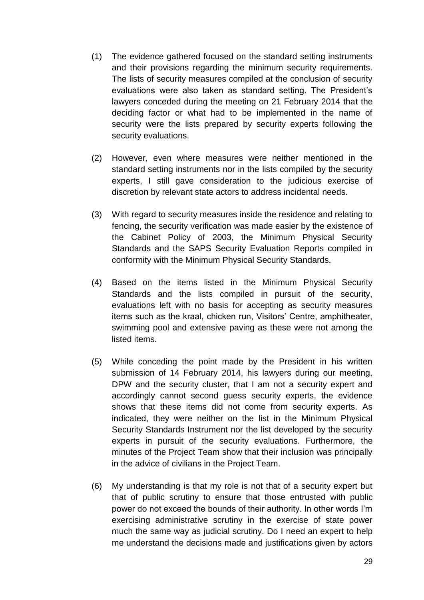- (1) The evidence gathered focused on the standard setting instruments and their provisions regarding the minimum security requirements. The lists of security measures compiled at the conclusion of security evaluations were also taken as standard setting. The President's lawyers conceded during the meeting on 21 February 2014 that the deciding factor or what had to be implemented in the name of security were the lists prepared by security experts following the security evaluations.
- (2) However, even where measures were neither mentioned in the standard setting instruments nor in the lists compiled by the security experts, I still gave consideration to the judicious exercise of discretion by relevant state actors to address incidental needs.
- (3) With regard to security measures inside the residence and relating to fencing, the security verification was made easier by the existence of the Cabinet Policy of 2003, the Minimum Physical Security Standards and the SAPS Security Evaluation Reports compiled in conformity with the Minimum Physical Security Standards.
- (4) Based on the items listed in the Minimum Physical Security Standards and the lists compiled in pursuit of the security, evaluations left with no basis for accepting as security measures items such as the kraal, chicken run, Visitors' Centre, amphitheater, swimming pool and extensive paving as these were not among the listed items.
- (5) While conceding the point made by the President in his written submission of 14 February 2014, his lawyers during our meeting, DPW and the security cluster, that I am not a security expert and accordingly cannot second guess security experts, the evidence shows that these items did not come from security experts. As indicated, they were neither on the list in the Minimum Physical Security Standards Instrument nor the list developed by the security experts in pursuit of the security evaluations. Furthermore, the minutes of the Project Team show that their inclusion was principally in the advice of civilians in the Project Team.
- (6) My understanding is that my role is not that of a security expert but that of public scrutiny to ensure that those entrusted with public power do not exceed the bounds of their authority. In other words I'm exercising administrative scrutiny in the exercise of state power much the same way as judicial scrutiny. Do I need an expert to help me understand the decisions made and justifications given by actors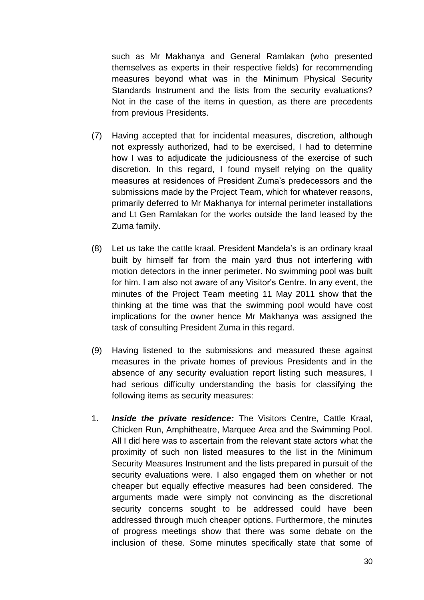such as Mr Makhanya and General Ramlakan (who presented themselves as experts in their respective fields) for recommending measures beyond what was in the Minimum Physical Security Standards Instrument and the lists from the security evaluations? Not in the case of the items in question, as there are precedents from previous Presidents.

- (7) Having accepted that for incidental measures, discretion, although not expressly authorized, had to be exercised, I had to determine how I was to adjudicate the judiciousness of the exercise of such discretion. In this regard, I found myself relying on the quality measures at residences of President Zuma's predecessors and the submissions made by the Project Team, which for whatever reasons, primarily deferred to Mr Makhanya for internal perimeter installations and Lt Gen Ramlakan for the works outside the land leased by the Zuma family.
- (8) Let us take the cattle kraal. President Mandela's is an ordinary kraal built by himself far from the main yard thus not interfering with motion detectors in the inner perimeter. No swimming pool was built for him. I am also not aware of any Visitor's Centre. In any event, the minutes of the Project Team meeting 11 May 2011 show that the thinking at the time was that the swimming pool would have cost implications for the owner hence Mr Makhanya was assigned the task of consulting President Zuma in this regard.
- (9) Having listened to the submissions and measured these against measures in the private homes of previous Presidents and in the absence of any security evaluation report listing such measures, I had serious difficulty understanding the basis for classifying the following items as security measures:
- 1. *Inside the private residence:* The Visitors Centre, Cattle Kraal, Chicken Run, Amphitheatre, Marquee Area and the Swimming Pool. All I did here was to ascertain from the relevant state actors what the proximity of such non listed measures to the list in the Minimum Security Measures Instrument and the lists prepared in pursuit of the security evaluations were. I also engaged them on whether or not cheaper but equally effective measures had been considered. The arguments made were simply not convincing as the discretional security concerns sought to be addressed could have been addressed through much cheaper options. Furthermore, the minutes of progress meetings show that there was some debate on the inclusion of these. Some minutes specifically state that some of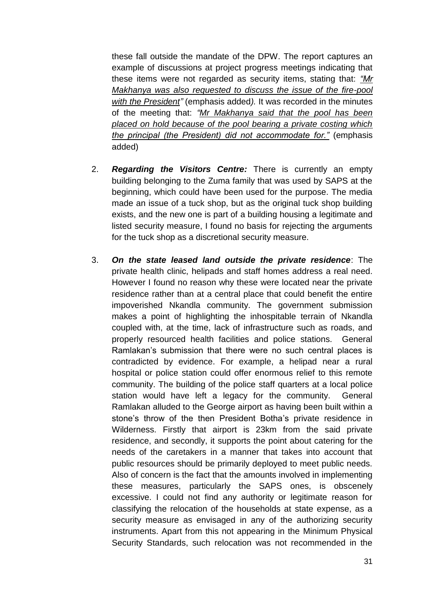these fall outside the mandate of the DPW. The report captures an example of discussions at project progress meetings indicating that these items were not regarded as security items, stating that: *"Mr Makhanya was also requested to discuss the issue of the fire-pool with the President"* (emphasis added*).* It was recorded in the minutes of the meeting that: *"Mr Makhanya said that the pool has been placed on hold because of the pool bearing a private costing which the principal (the President) did not accommodate for."* (emphasis added)

- 2. *Regarding the Visitors Centre:* There is currently an empty building belonging to the Zuma family that was used by SAPS at the beginning, which could have been used for the purpose. The media made an issue of a tuck shop, but as the original tuck shop building exists, and the new one is part of a building housing a legitimate and listed security measure, I found no basis for rejecting the arguments for the tuck shop as a discretional security measure.
- 3. *On the state leased land outside the private residence*: The private health clinic, helipads and staff homes address a real need. However I found no reason why these were located near the private residence rather than at a central place that could benefit the entire impoverished Nkandla community. The government submission makes a point of highlighting the inhospitable terrain of Nkandla coupled with, at the time, lack of infrastructure such as roads, and properly resourced health facilities and police stations. General Ramlakan's submission that there were no such central places is contradicted by evidence. For example, a helipad near a rural hospital or police station could offer enormous relief to this remote community. The building of the police staff quarters at a local police station would have left a legacy for the community. General Ramlakan alluded to the George airport as having been built within a stone's throw of the then President Botha's private residence in Wilderness. Firstly that airport is 23km from the said private residence, and secondly, it supports the point about catering for the needs of the caretakers in a manner that takes into account that public resources should be primarily deployed to meet public needs. Also of concern is the fact that the amounts involved in implementing these measures, particularly the SAPS ones, is obscenely excessive. I could not find any authority or legitimate reason for classifying the relocation of the households at state expense, as a security measure as envisaged in any of the authorizing security instruments. Apart from this not appearing in the Minimum Physical Security Standards, such relocation was not recommended in the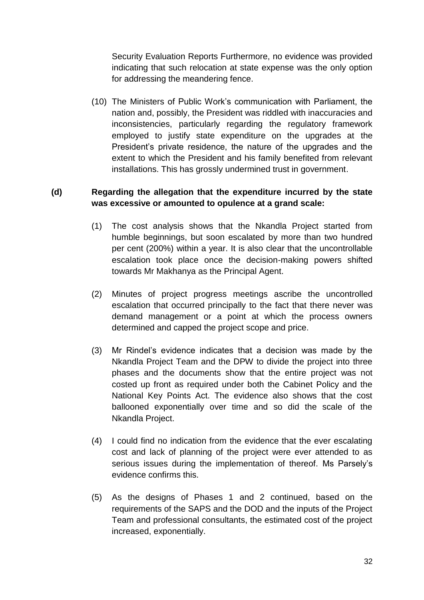Security Evaluation Reports Furthermore, no evidence was provided indicating that such relocation at state expense was the only option for addressing the meandering fence.

(10) The Ministers of Public Work's communication with Parliament, the nation and, possibly, the President was riddled with inaccuracies and inconsistencies, particularly regarding the regulatory framework employed to justify state expenditure on the upgrades at the President's private residence, the nature of the upgrades and the extent to which the President and his family benefited from relevant installations. This has grossly undermined trust in government.

### **(d) Regarding the allegation that the expenditure incurred by the state was excessive or amounted to opulence at a grand scale:**

- (1) The cost analysis shows that the Nkandla Project started from humble beginnings, but soon escalated by more than two hundred per cent (200%) within a year. It is also clear that the uncontrollable escalation took place once the decision-making powers shifted towards Mr Makhanya as the Principal Agent.
- (2) Minutes of project progress meetings ascribe the uncontrolled escalation that occurred principally to the fact that there never was demand management or a point at which the process owners determined and capped the project scope and price.
- (3) Mr Rindel's evidence indicates that a decision was made by the Nkandla Project Team and the DPW to divide the project into three phases and the documents show that the entire project was not costed up front as required under both the Cabinet Policy and the National Key Points Act. The evidence also shows that the cost ballooned exponentially over time and so did the scale of the Nkandla Project.
- (4) I could find no indication from the evidence that the ever escalating cost and lack of planning of the project were ever attended to as serious issues during the implementation of thereof. Ms Parsely's evidence confirms this.
- (5) As the designs of Phases 1 and 2 continued, based on the requirements of the SAPS and the DOD and the inputs of the Project Team and professional consultants, the estimated cost of the project increased, exponentially.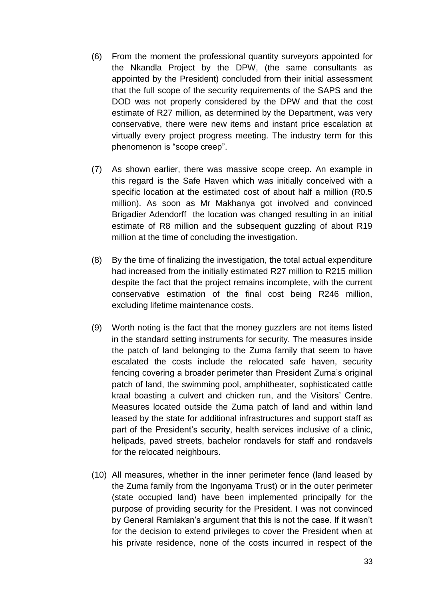- (6) From the moment the professional quantity surveyors appointed for the Nkandla Project by the DPW, (the same consultants as appointed by the President) concluded from their initial assessment that the full scope of the security requirements of the SAPS and the DOD was not properly considered by the DPW and that the cost estimate of R27 million, as determined by the Department, was very conservative, there were new items and instant price escalation at virtually every project progress meeting. The industry term for this phenomenon is "scope creep".
- (7) As shown earlier, there was massive scope creep. An example in this regard is the Safe Haven which was initially conceived with a specific location at the estimated cost of about half a million (R0.5 million). As soon as Mr Makhanya got involved and convinced Brigadier Adendorff the location was changed resulting in an initial estimate of R8 million and the subsequent guzzling of about R19 million at the time of concluding the investigation.
- (8) By the time of finalizing the investigation, the total actual expenditure had increased from the initially estimated R27 million to R215 million despite the fact that the project remains incomplete, with the current conservative estimation of the final cost being R246 million, excluding lifetime maintenance costs.
- (9) Worth noting is the fact that the money guzzlers are not items listed in the standard setting instruments for security. The measures inside the patch of land belonging to the Zuma family that seem to have escalated the costs include the relocated safe haven, security fencing covering a broader perimeter than President Zuma's original patch of land, the swimming pool, amphitheater, sophisticated cattle kraal boasting a culvert and chicken run, and the Visitors' Centre. Measures located outside the Zuma patch of land and within land leased by the state for additional infrastructures and support staff as part of the President's security, health services inclusive of a clinic, helipads, paved streets, bachelor rondavels for staff and rondavels for the relocated neighbours.
- (10) All measures, whether in the inner perimeter fence (land leased by the Zuma family from the Ingonyama Trust) or in the outer perimeter (state occupied land) have been implemented principally for the purpose of providing security for the President. I was not convinced by General Ramlakan's argument that this is not the case. If it wasn't for the decision to extend privileges to cover the President when at his private residence, none of the costs incurred in respect of the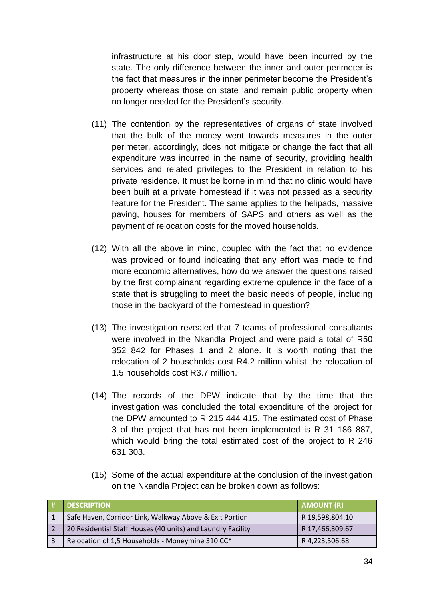infrastructure at his door step, would have been incurred by the state. The only difference between the inner and outer perimeter is the fact that measures in the inner perimeter become the President's property whereas those on state land remain public property when no longer needed for the President's security.

- (11) The contention by the representatives of organs of state involved that the bulk of the money went towards measures in the outer perimeter, accordingly, does not mitigate or change the fact that all expenditure was incurred in the name of security, providing health services and related privileges to the President in relation to his private residence. It must be borne in mind that no clinic would have been built at a private homestead if it was not passed as a security feature for the President. The same applies to the helipads, massive paving, houses for members of SAPS and others as well as the payment of relocation costs for the moved households.
- (12) With all the above in mind, coupled with the fact that no evidence was provided or found indicating that any effort was made to find more economic alternatives, how do we answer the questions raised by the first complainant regarding extreme opulence in the face of a state that is struggling to meet the basic needs of people, including those in the backyard of the homestead in question?
- (13) The investigation revealed that 7 teams of professional consultants were involved in the Nkandla Project and were paid a total of R50 352 842 for Phases 1 and 2 alone. It is worth noting that the relocation of 2 households cost R4.2 million whilst the relocation of 1.5 households cost R3.7 million.
- (14) The records of the DPW indicate that by the time that the investigation was concluded the total expenditure of the project for the DPW amounted to R 215 444 415. The estimated cost of Phase 3 of the project that has not been implemented is R 31 186 887, which would bring the total estimated cost of the project to R 246 631 303.
- (15) Some of the actual expenditure at the conclusion of the investigation on the Nkandla Project can be broken down as follows:

| <b>DESCRIPTION</b>                                          | <b>AMOUNT (R)</b> |
|-------------------------------------------------------------|-------------------|
| Safe Haven, Corridor Link, Walkway Above & Exit Portion     | R 19,598,804.10   |
| 20 Residential Staff Houses (40 units) and Laundry Facility | R 17,466,309.67   |
| Relocation of 1,5 Households - Moneymine 310 CC*            | R 4,223,506.68    |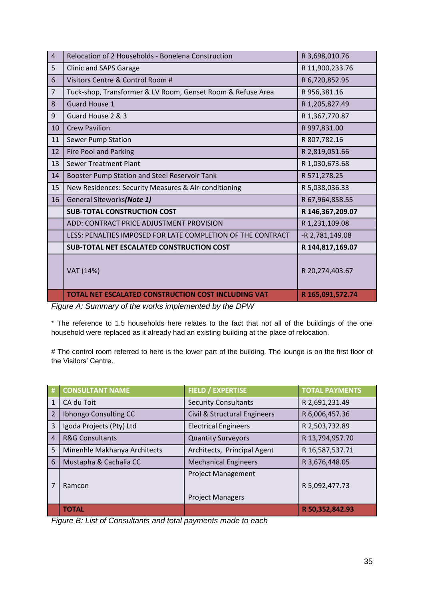| $\overline{4}$ | Relocation of 2 Households - Bonelena Construction          | R 3,698,010.76   |
|----------------|-------------------------------------------------------------|------------------|
| 5              | Clinic and SAPS Garage                                      | R 11,900,233.76  |
| 6              | Visitors Centre & Control Room #                            | R 6,720,852.95   |
| $\overline{7}$ | Tuck-shop, Transformer & LV Room, Genset Room & Refuse Area | R 956,381.16     |
| 8              | <b>Guard House 1</b>                                        | R 1,205,827.49   |
| 9              | Guard House 2 & 3                                           | R 1,367,770.87   |
| 10             | <b>Crew Pavilion</b>                                        | R 997,831.00     |
| 11             | <b>Sewer Pump Station</b>                                   | R 807,782.16     |
| 12             | <b>Fire Pool and Parking</b>                                | R 2,819,051.66   |
| 13             | <b>Sewer Treatment Plant</b>                                | R 1,030,673.68   |
| 14             | Booster Pump Station and Steel Reservoir Tank               | R 571,278.25     |
| 15             | New Residences: Security Measures & Air-conditioning        | R 5,038,036.33   |
| 16             | General Siteworks(Note 1)                                   | R 67,964,858.55  |
|                | <b>SUB-TOTAL CONSTRUCTION COST</b>                          | R 146,367,209.07 |
|                | ADD: CONTRACT PRICE ADJUSTMENT PROVISION                    | R 1,231,109.08   |
|                | LESS: PENALTIES IMPOSED FOR LATE COMPLETION OF THE CONTRACT | -R 2,781,149.08  |
|                | <b>SUB-TOTAL NET ESCALATED CONSTRUCTION COST</b>            | R 144,817,169.07 |
|                | VAT (14%)                                                   | R 20,274,403.67  |
|                | TOTAL NET ESCALATED CONSTRUCTION COST INCLUDING VAT         | R 165,091,572.74 |

*Figure A: Summary of the works implemented by the DPW*

\* The reference to 1.5 households here relates to the fact that not all of the buildings of the one household were replaced as it already had an existing building at the place of relocation.

# The control room referred to here is the lower part of the building. The lounge is on the first floor of the Visitors' Centre.

| #              | <b>CONSULTANT NAME</b>       | <b>FIELD / EXPERTISE</b>                             | <b>TOTAL PAYMENTS</b> |
|----------------|------------------------------|------------------------------------------------------|-----------------------|
| $\mathbf{1}$   | CA du Toit                   | <b>Security Consultants</b>                          | R 2,691,231.49        |
| $\overline{2}$ | Ibhongo Consulting CC        | Civil & Structural Engineers                         | R 6,006,457.36        |
| 3              | Igoda Projects (Pty) Ltd     | <b>Electrical Engineers</b>                          | R 2,503,732.89        |
| $\overline{4}$ | <b>R&amp;G Consultants</b>   | <b>Quantity Surveyors</b>                            | R 13,794,957.70       |
| 5              | Minenhle Makhanya Architects | Architects, Principal Agent                          | R 16,587,537.71       |
| 6              | Mustapha & Cachalia CC       | <b>Mechanical Engineers</b>                          | R 3,676,448.05        |
|                | Ramcon                       | <b>Project Management</b><br><b>Project Managers</b> | R 5,092,477.73        |
|                | <b>TOTAL</b>                 |                                                      | R 50,352,842.93       |

*Figure B: List of Consultants and total payments made to each*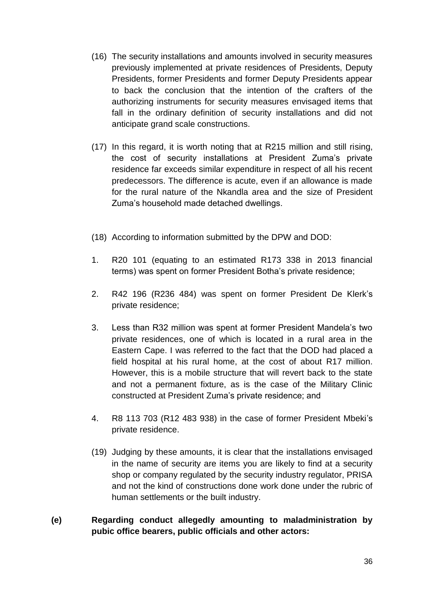- (16) The security installations and amounts involved in security measures previously implemented at private residences of Presidents, Deputy Presidents, former Presidents and former Deputy Presidents appear to back the conclusion that the intention of the crafters of the authorizing instruments for security measures envisaged items that fall in the ordinary definition of security installations and did not anticipate grand scale constructions.
- (17) In this regard, it is worth noting that at R215 million and still rising, the cost of security installations at President Zuma's private residence far exceeds similar expenditure in respect of all his recent predecessors. The difference is acute, even if an allowance is made for the rural nature of the Nkandla area and the size of President Zuma's household made detached dwellings.
- (18) According to information submitted by the DPW and DOD:
- 1. R20 101 (equating to an estimated R173 338 in 2013 financial terms) was spent on former President Botha's private residence;
- 2. R42 196 (R236 484) was spent on former President De Klerk's private residence;
- 3. Less than R32 million was spent at former President Mandela's two private residences, one of which is located in a rural area in the Eastern Cape. I was referred to the fact that the DOD had placed a field hospital at his rural home, at the cost of about R17 million. However, this is a mobile structure that will revert back to the state and not a permanent fixture, as is the case of the Military Clinic constructed at President Zuma's private residence; and
- 4. R8 113 703 (R12 483 938) in the case of former President Mbeki's private residence.
- (19) Judging by these amounts, it is clear that the installations envisaged in the name of security are items you are likely to find at a security shop or company regulated by the security industry regulator, PRISA and not the kind of constructions done work done under the rubric of human settlements or the built industry.

### **(e) Regarding conduct allegedly amounting to maladministration by pubic office bearers, public officials and other actors:**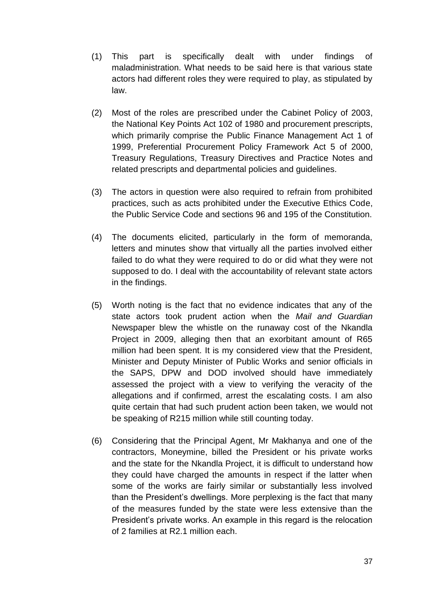- (1) This part is specifically dealt with under findings of maladministration. What needs to be said here is that various state actors had different roles they were required to play, as stipulated by law.
- (2) Most of the roles are prescribed under the Cabinet Policy of 2003, the National Key Points Act 102 of 1980 and procurement prescripts, which primarily comprise the Public Finance Management Act 1 of 1999, Preferential Procurement Policy Framework Act 5 of 2000, Treasury Regulations, Treasury Directives and Practice Notes and related prescripts and departmental policies and guidelines.
- (3) The actors in question were also required to refrain from prohibited practices, such as acts prohibited under the Executive Ethics Code, the Public Service Code and sections 96 and 195 of the Constitution.
- (4) The documents elicited, particularly in the form of memoranda, letters and minutes show that virtually all the parties involved either failed to do what they were required to do or did what they were not supposed to do. I deal with the accountability of relevant state actors in the findings.
- (5) Worth noting is the fact that no evidence indicates that any of the state actors took prudent action when the *Mail and Guardian* Newspaper blew the whistle on the runaway cost of the Nkandla Project in 2009, alleging then that an exorbitant amount of R65 million had been spent. It is my considered view that the President, Minister and Deputy Minister of Public Works and senior officials in the SAPS, DPW and DOD involved should have immediately assessed the project with a view to verifying the veracity of the allegations and if confirmed, arrest the escalating costs. I am also quite certain that had such prudent action been taken, we would not be speaking of R215 million while still counting today.
- (6) Considering that the Principal Agent, Mr Makhanya and one of the contractors, Moneymine, billed the President or his private works and the state for the Nkandla Project, it is difficult to understand how they could have charged the amounts in respect if the latter when some of the works are fairly similar or substantially less involved than the President's dwellings. More perplexing is the fact that many of the measures funded by the state were less extensive than the President's private works. An example in this regard is the relocation of 2 families at R2.1 million each.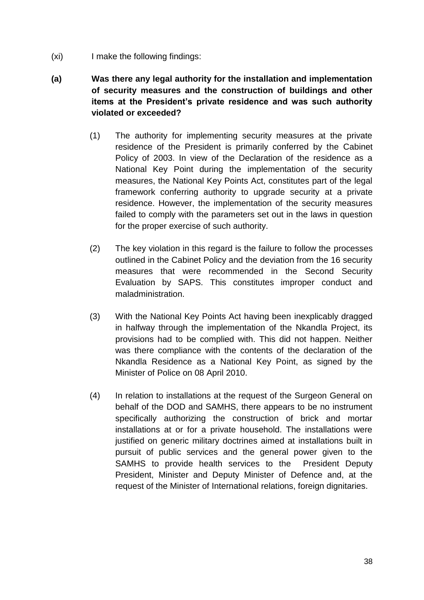- (xi) I make the following findings:
- **(a) Was there any legal authority for the installation and implementation of security measures and the construction of buildings and other items at the President's private residence and was such authority violated or exceeded?**
	- (1) The authority for implementing security measures at the private residence of the President is primarily conferred by the Cabinet Policy of 2003. In view of the Declaration of the residence as a National Key Point during the implementation of the security measures, the National Key Points Act, constitutes part of the legal framework conferring authority to upgrade security at a private residence. However, the implementation of the security measures failed to comply with the parameters set out in the laws in question for the proper exercise of such authority.
	- (2) The key violation in this regard is the failure to follow the processes outlined in the Cabinet Policy and the deviation from the 16 security measures that were recommended in the Second Security Evaluation by SAPS. This constitutes improper conduct and maladministration.
	- (3) With the National Key Points Act having been inexplicably dragged in halfway through the implementation of the Nkandla Project, its provisions had to be complied with. This did not happen. Neither was there compliance with the contents of the declaration of the Nkandla Residence as a National Key Point, as signed by the Minister of Police on 08 April 2010.
	- (4) In relation to installations at the request of the Surgeon General on behalf of the DOD and SAMHS, there appears to be no instrument specifically authorizing the construction of brick and mortar installations at or for a private household. The installations were justified on generic military doctrines aimed at installations built in pursuit of public services and the general power given to the SAMHS to provide health services to the President Deputy President, Minister and Deputy Minister of Defence and, at the request of the Minister of International relations, foreign dignitaries.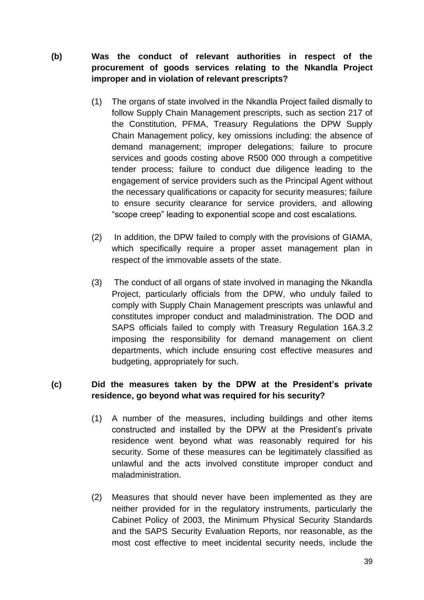**(b) Was the conduct of relevant authorities in respect of the procurement of goods services relating to the Nkandla Project improper and in violation of relevant prescripts?**

- (1) The organs of state involved in the Nkandla Project failed dismally to follow Supply Chain Management prescripts, such as section 217 of the Constitution, PFMA, Treasury Regulations the DPW Supply Chain Management policy, key omissions including: the absence of demand management; improper delegations; failure to procure services and goods costing above R500 000 through a competitive tender process; failure to conduct due diligence leading to the engagement of service providers such as the Principal Agent without the necessary qualifications or capacity for security measures; failure to ensure security clearance for service providers, and allowing "scope creep" leading to exponential scope and cost escalations.
- (2) In addition, the DPW failed to comply with the provisions of GIAMA, which specifically require a proper asset management plan in respect of the immovable assets of the state.
- (3) The conduct of all organs of state involved in managing the Nkandla Project, particularly officials from the DPW, who unduly failed to comply with Supply Chain Management prescripts was unlawful and constitutes improper conduct and maladministration. The DOD and SAPS officials failed to comply with Treasury Regulation 16A.3.2 imposing the responsibility for demand management on client departments, which include ensuring cost effective measures and budgeting, appropriately for such.

### **(c) Did the measures taken by the DPW at the President's private residence, go beyond what was required for his security?**

- (1) A number of the measures, including buildings and other items constructed and installed by the DPW at the President's private residence went beyond what was reasonably required for his security. Some of these measures can be legitimately classified as unlawful and the acts involved constitute improper conduct and maladministration.
- (2) Measures that should never have been implemented as they are neither provided for in the regulatory instruments, particularly the Cabinet Policy of 2003, the Minimum Physical Security Standards and the SAPS Security Evaluation Reports, nor reasonable, as the most cost effective to meet incidental security needs, include the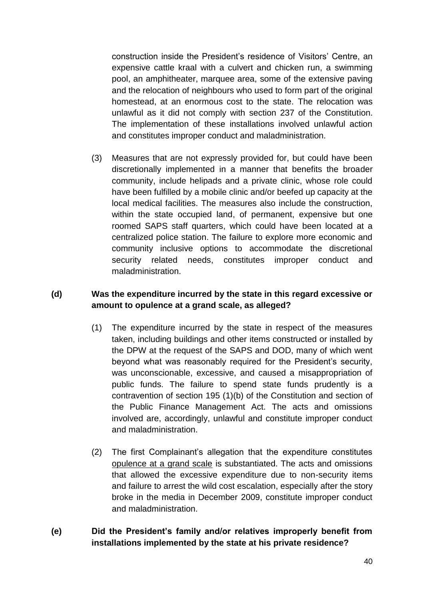construction inside the President's residence of Visitors' Centre, an expensive cattle kraal with a culvert and chicken run, a swimming pool, an amphitheater, marquee area, some of the extensive paving and the relocation of neighbours who used to form part of the original homestead, at an enormous cost to the state. The relocation was unlawful as it did not comply with section 237 of the Constitution. The implementation of these installations involved unlawful action and constitutes improper conduct and maladministration.

(3) Measures that are not expressly provided for, but could have been discretionally implemented in a manner that benefits the broader community, include helipads and a private clinic, whose role could have been fulfilled by a mobile clinic and/or beefed up capacity at the local medical facilities. The measures also include the construction, within the state occupied land, of permanent, expensive but one roomed SAPS staff quarters, which could have been located at a centralized police station. The failure to explore more economic and community inclusive options to accommodate the discretional security related needs, constitutes improper conduct and maladministration.

### **(d) Was the expenditure incurred by the state in this regard excessive or amount to opulence at a grand scale, as alleged?**

- (1) The expenditure incurred by the state in respect of the measures taken, including buildings and other items constructed or installed by the DPW at the request of the SAPS and DOD, many of which went beyond what was reasonably required for the President's security, was unconscionable, excessive, and caused a misappropriation of public funds. The failure to spend state funds prudently is a contravention of section 195 (1)(b) of the Constitution and section of the Public Finance Management Act. The acts and omissions involved are, accordingly, unlawful and constitute improper conduct and maladministration.
- (2) The first Complainant's allegation that the expenditure constitutes opulence at a grand scale is substantiated. The acts and omissions that allowed the excessive expenditure due to non-security items and failure to arrest the wild cost escalation, especially after the story broke in the media in December 2009, constitute improper conduct and maladministration.
- **(e) Did the President's family and/or relatives improperly benefit from installations implemented by the state at his private residence?**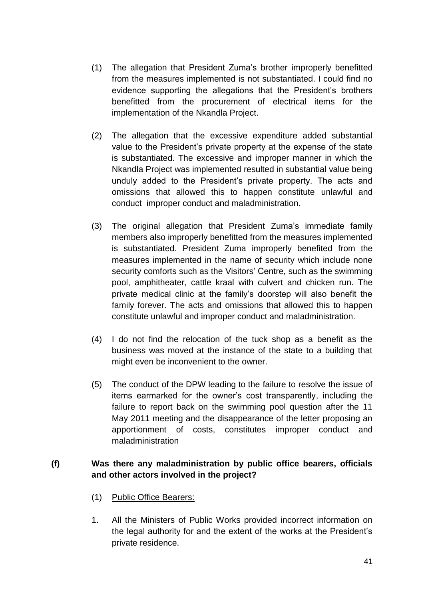- (1) The allegation that President Zuma's brother improperly benefitted from the measures implemented is not substantiated. I could find no evidence supporting the allegations that the President's brothers benefitted from the procurement of electrical items for the implementation of the Nkandla Project.
- (2) The allegation that the excessive expenditure added substantial value to the President's private property at the expense of the state is substantiated. The excessive and improper manner in which the Nkandla Project was implemented resulted in substantial value being unduly added to the President's private property. The acts and omissions that allowed this to happen constitute unlawful and conduct improper conduct and maladministration.
- (3) The original allegation that President Zuma's immediate family members also improperly benefitted from the measures implemented is substantiated. President Zuma improperly benefited from the measures implemented in the name of security which include none security comforts such as the Visitors' Centre, such as the swimming pool, amphitheater, cattle kraal with culvert and chicken run. The private medical clinic at the family's doorstep will also benefit the family forever. The acts and omissions that allowed this to happen constitute unlawful and improper conduct and maladministration.
- (4) I do not find the relocation of the tuck shop as a benefit as the business was moved at the instance of the state to a building that might even be inconvenient to the owner.
- (5) The conduct of the DPW leading to the failure to resolve the issue of items earmarked for the owner's cost transparently, including the failure to report back on the swimming pool question after the 11 May 2011 meeting and the disappearance of the letter proposing an apportionment of costs, constitutes improper conduct and maladministration

### **(f) Was there any maladministration by public office bearers, officials and other actors involved in the project?**

- (1) Public Office Bearers:
- 1. All the Ministers of Public Works provided incorrect information on the legal authority for and the extent of the works at the President's private residence.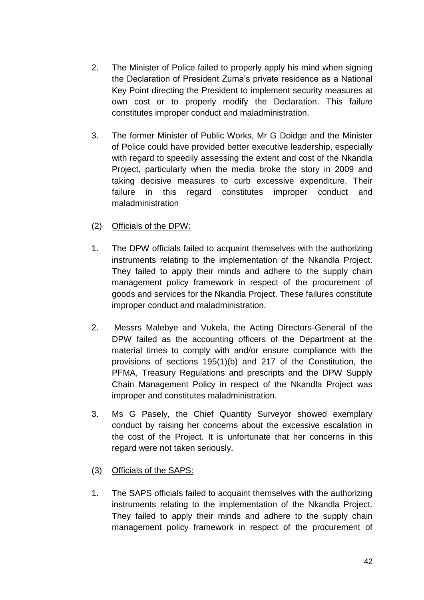- 2. The Minister of Police failed to properly apply his mind when signing the Declaration of President Zuma's private residence as a National Key Point directing the President to implement security measures at own cost or to properly modify the Declaration. This failure constitutes improper conduct and maladministration.
- 3. The former Minister of Public Works, Mr G Doidge and the Minister of Police could have provided better executive leadership, especially with regard to speedily assessing the extent and cost of the Nkandla Project, particularly when the media broke the story in 2009 and taking decisive measures to curb excessive expenditure. Their failure in this regard constitutes improper conduct and maladministration
- (2) Officials of the DPW:
- 1. The DPW officials failed to acquaint themselves with the authorizing instruments relating to the implementation of the Nkandla Project. They failed to apply their minds and adhere to the supply chain management policy framework in respect of the procurement of goods and services for the Nkandla Project. These failures constitute improper conduct and maladministration.
- 2. Messrs Malebye and Vukela, the Acting Directors-General of the DPW failed as the accounting officers of the Department at the material times to comply with and/or ensure compliance with the provisions of sections 195(1)(b) and 217 of the Constitution, the PFMA, Treasury Regulations and prescripts and the DPW Supply Chain Management Policy in respect of the Nkandla Project was improper and constitutes maladministration.
- 3. Ms G Pasely, the Chief Quantity Surveyor showed exemplary conduct by raising her concerns about the excessive escalation in the cost of the Project. It is unfortunate that her concerns in this regard were not taken seriously.
- (3) Officials of the SAPS:
- 1. The SAPS officials failed to acquaint themselves with the authorizing instruments relating to the implementation of the Nkandla Project. They failed to apply their minds and adhere to the supply chain management policy framework in respect of the procurement of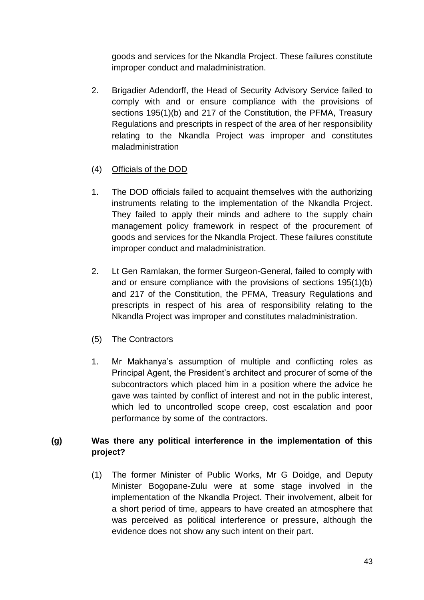goods and services for the Nkandla Project. These failures constitute improper conduct and maladministration.

- 2. Brigadier Adendorff, the Head of Security Advisory Service failed to comply with and or ensure compliance with the provisions of sections 195(1)(b) and 217 of the Constitution, the PFMA, Treasury Regulations and prescripts in respect of the area of her responsibility relating to the Nkandla Project was improper and constitutes maladministration
- (4) Officials of the DOD
- 1. The DOD officials failed to acquaint themselves with the authorizing instruments relating to the implementation of the Nkandla Project. They failed to apply their minds and adhere to the supply chain management policy framework in respect of the procurement of goods and services for the Nkandla Project. These failures constitute improper conduct and maladministration.
- 2. Lt Gen Ramlakan, the former Surgeon-General, failed to comply with and or ensure compliance with the provisions of sections 195(1)(b) and 217 of the Constitution, the PFMA, Treasury Regulations and prescripts in respect of his area of responsibility relating to the Nkandla Project was improper and constitutes maladministration.
- (5) The Contractors
- 1. Mr Makhanya's assumption of multiple and conflicting roles as Principal Agent, the President's architect and procurer of some of the subcontractors which placed him in a position where the advice he gave was tainted by conflict of interest and not in the public interest, which led to uncontrolled scope creep, cost escalation and poor performance by some of the contractors.

## **(g) Was there any political interference in the implementation of this project?**

(1) The former Minister of Public Works, Mr G Doidge, and Deputy Minister Bogopane-Zulu were at some stage involved in the implementation of the Nkandla Project. Their involvement, albeit for a short period of time, appears to have created an atmosphere that was perceived as political interference or pressure, although the evidence does not show any such intent on their part.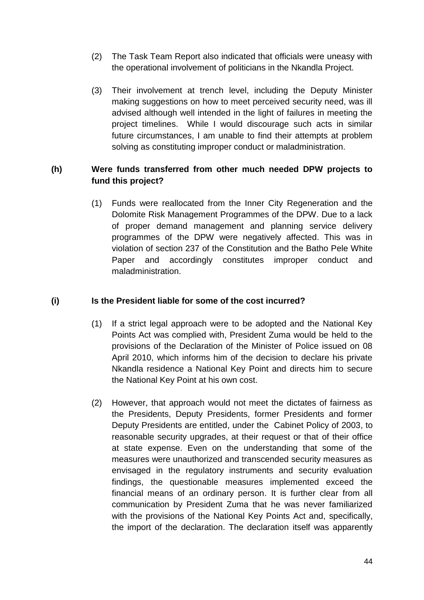- (2) The Task Team Report also indicated that officials were uneasy with the operational involvement of politicians in the Nkandla Project.
- (3) Their involvement at trench level, including the Deputy Minister making suggestions on how to meet perceived security need, was ill advised although well intended in the light of failures in meeting the project timelines. While I would discourage such acts in similar future circumstances, I am unable to find their attempts at problem solving as constituting improper conduct or maladministration.

### **(h) Were funds transferred from other much needed DPW projects to fund this project?**

(1) Funds were reallocated from the Inner City Regeneration and the Dolomite Risk Management Programmes of the DPW. Due to a lack of proper demand management and planning service delivery programmes of the DPW were negatively affected. This was in violation of section 237 of the Constitution and the Batho Pele White Paper and accordingly constitutes improper conduct and maladministration.

### **(i) Is the President liable for some of the cost incurred?**

- (1) If a strict legal approach were to be adopted and the National Key Points Act was complied with, President Zuma would be held to the provisions of the Declaration of the Minister of Police issued on 08 April 2010, which informs him of the decision to declare his private Nkandla residence a National Key Point and directs him to secure the National Key Point at his own cost.
- (2) However, that approach would not meet the dictates of fairness as the Presidents, Deputy Presidents, former Presidents and former Deputy Presidents are entitled, under the Cabinet Policy of 2003, to reasonable security upgrades, at their request or that of their office at state expense. Even on the understanding that some of the measures were unauthorized and transcended security measures as envisaged in the regulatory instruments and security evaluation findings, the questionable measures implemented exceed the financial means of an ordinary person. It is further clear from all communication by President Zuma that he was never familiarized with the provisions of the National Key Points Act and, specifically, the import of the declaration. The declaration itself was apparently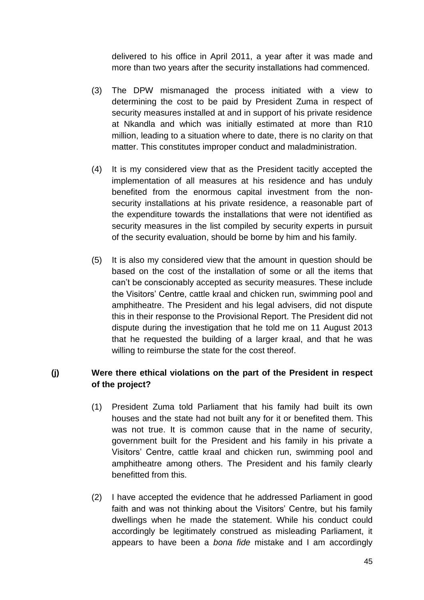delivered to his office in April 2011, a year after it was made and more than two years after the security installations had commenced.

- (3) The DPW mismanaged the process initiated with a view to determining the cost to be paid by President Zuma in respect of security measures installed at and in support of his private residence at Nkandla and which was initially estimated at more than R10 million, leading to a situation where to date, there is no clarity on that matter. This constitutes improper conduct and maladministration.
- (4) It is my considered view that as the President tacitly accepted the implementation of all measures at his residence and has unduly benefited from the enormous capital investment from the nonsecurity installations at his private residence, a reasonable part of the expenditure towards the installations that were not identified as security measures in the list compiled by security experts in pursuit of the security evaluation, should be borne by him and his family.
- (5) It is also my considered view that the amount in question should be based on the cost of the installation of some or all the items that can't be conscionably accepted as security measures. These include the Visitors' Centre, cattle kraal and chicken run, swimming pool and amphitheatre. The President and his legal advisers, did not dispute this in their response to the Provisional Report. The President did not dispute during the investigation that he told me on 11 August 2013 that he requested the building of a larger kraal, and that he was willing to reimburse the state for the cost thereof.

### **(j) Were there ethical violations on the part of the President in respect of the project?**

- (1) President Zuma told Parliament that his family had built its own houses and the state had not built any for it or benefited them. This was not true. It is common cause that in the name of security, government built for the President and his family in his private a Visitors' Centre, cattle kraal and chicken run, swimming pool and amphitheatre among others. The President and his family clearly benefitted from this.
- (2) I have accepted the evidence that he addressed Parliament in good faith and was not thinking about the Visitors' Centre, but his family dwellings when he made the statement. While his conduct could accordingly be legitimately construed as misleading Parliament, it appears to have been a *bona fide* mistake and I am accordingly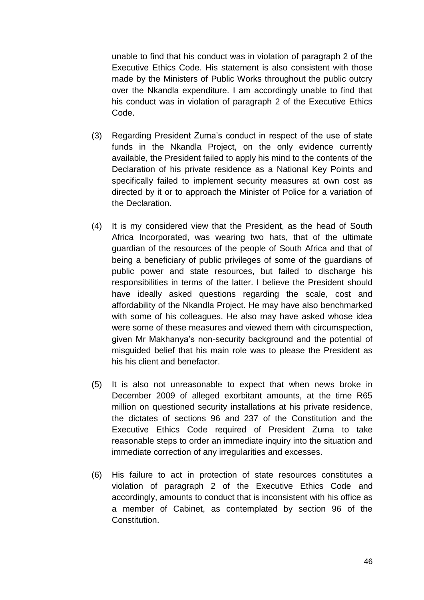unable to find that his conduct was in violation of paragraph 2 of the Executive Ethics Code. His statement is also consistent with those made by the Ministers of Public Works throughout the public outcry over the Nkandla expenditure. I am accordingly unable to find that his conduct was in violation of paragraph 2 of the Executive Ethics Code.

- (3) Regarding President Zuma's conduct in respect of the use of state funds in the Nkandla Project, on the only evidence currently available, the President failed to apply his mind to the contents of the Declaration of his private residence as a National Key Points and specifically failed to implement security measures at own cost as directed by it or to approach the Minister of Police for a variation of the Declaration.
- (4) It is my considered view that the President, as the head of South Africa Incorporated, was wearing two hats, that of the ultimate guardian of the resources of the people of South Africa and that of being a beneficiary of public privileges of some of the guardians of public power and state resources, but failed to discharge his responsibilities in terms of the latter. I believe the President should have ideally asked questions regarding the scale, cost and affordability of the Nkandla Project. He may have also benchmarked with some of his colleagues. He also may have asked whose idea were some of these measures and viewed them with circumspection, given Mr Makhanya's non-security background and the potential of misguided belief that his main role was to please the President as his his client and benefactor.
- (5) It is also not unreasonable to expect that when news broke in December 2009 of alleged exorbitant amounts, at the time R65 million on questioned security installations at his private residence, the dictates of sections 96 and 237 of the Constitution and the Executive Ethics Code required of President Zuma to take reasonable steps to order an immediate inquiry into the situation and immediate correction of any irregularities and excesses.
- (6) His failure to act in protection of state resources constitutes a violation of paragraph 2 of the Executive Ethics Code and accordingly, amounts to conduct that is inconsistent with his office as a member of Cabinet, as contemplated by section 96 of the Constitution.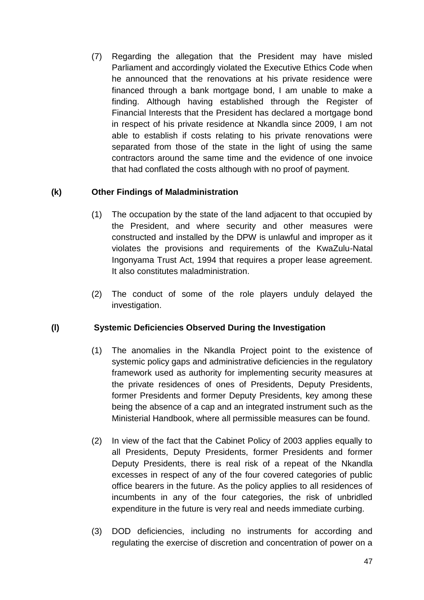(7) Regarding the allegation that the President may have misled Parliament and accordingly violated the Executive Ethics Code when he announced that the renovations at his private residence were financed through a bank mortgage bond, I am unable to make a finding. Although having established through the Register of Financial Interests that the President has declared a mortgage bond in respect of his private residence at Nkandla since 2009, I am not able to establish if costs relating to his private renovations were separated from those of the state in the light of using the same contractors around the same time and the evidence of one invoice that had conflated the costs although with no proof of payment.

## **(k) Other Findings of Maladministration**

- (1) The occupation by the state of the land adjacent to that occupied by the President, and where security and other measures were constructed and installed by the DPW is unlawful and improper as it violates the provisions and requirements of the KwaZulu-Natal Ingonyama Trust Act, 1994 that requires a proper lease agreement. It also constitutes maladministration.
- (2) The conduct of some of the role players unduly delayed the investigation.

### **(l) Systemic Deficiencies Observed During the Investigation**

- (1) The anomalies in the Nkandla Project point to the existence of systemic policy gaps and administrative deficiencies in the regulatory framework used as authority for implementing security measures at the private residences of ones of Presidents, Deputy Presidents, former Presidents and former Deputy Presidents, key among these being the absence of a cap and an integrated instrument such as the Ministerial Handbook, where all permissible measures can be found.
- (2) In view of the fact that the Cabinet Policy of 2003 applies equally to all Presidents, Deputy Presidents, former Presidents and former Deputy Presidents, there is real risk of a repeat of the Nkandla excesses in respect of any of the four covered categories of public office bearers in the future. As the policy applies to all residences of incumbents in any of the four categories, the risk of unbridled expenditure in the future is very real and needs immediate curbing.
- (3) DOD deficiencies, including no instruments for according and regulating the exercise of discretion and concentration of power on a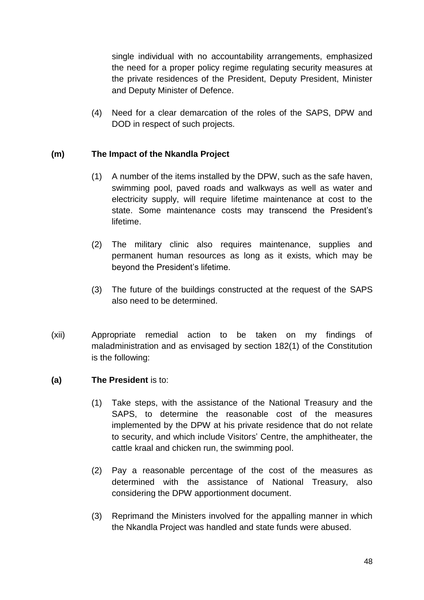single individual with no accountability arrangements, emphasized the need for a proper policy regime regulating security measures at the private residences of the President, Deputy President, Minister and Deputy Minister of Defence.

(4) Need for a clear demarcation of the roles of the SAPS, DPW and DOD in respect of such projects.

### **(m) The Impact of the Nkandla Project**

- (1) A number of the items installed by the DPW, such as the safe haven, swimming pool, paved roads and walkways as well as water and electricity supply, will require lifetime maintenance at cost to the state. Some maintenance costs may transcend the President's lifetime.
- (2) The military clinic also requires maintenance, supplies and permanent human resources as long as it exists, which may be beyond the President's lifetime.
- (3) The future of the buildings constructed at the request of the SAPS also need to be determined.
- (xii) Appropriate remedial action to be taken on my findings of maladministration and as envisaged by section 182(1) of the Constitution is the following:

### **(a) The President** is to:

- (1) Take steps, with the assistance of the National Treasury and the SAPS, to determine the reasonable cost of the measures implemented by the DPW at his private residence that do not relate to security, and which include Visitors' Centre, the amphitheater, the cattle kraal and chicken run, the swimming pool.
- (2) Pay a reasonable percentage of the cost of the measures as determined with the assistance of National Treasury, also considering the DPW apportionment document.
- (3) Reprimand the Ministers involved for the appalling manner in which the Nkandla Project was handled and state funds were abused.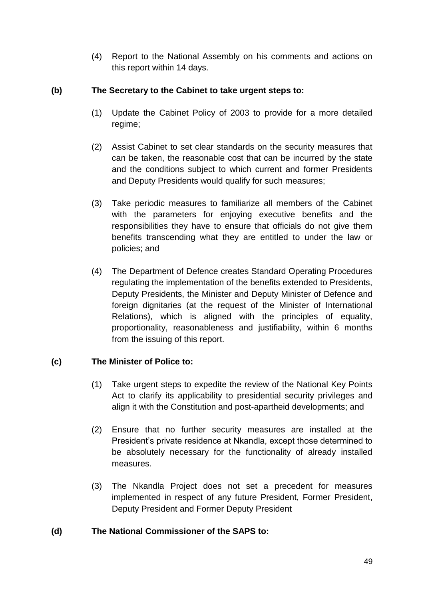(4) Report to the National Assembly on his comments and actions on this report within 14 days.

### **(b) The Secretary to the Cabinet to take urgent steps to:**

- (1) Update the Cabinet Policy of 2003 to provide for a more detailed regime;
- (2) Assist Cabinet to set clear standards on the security measures that can be taken, the reasonable cost that can be incurred by the state and the conditions subject to which current and former Presidents and Deputy Presidents would qualify for such measures;
- (3) Take periodic measures to familiarize all members of the Cabinet with the parameters for enjoving executive benefits and the responsibilities they have to ensure that officials do not give them benefits transcending what they are entitled to under the law or policies; and
- (4) The Department of Defence creates Standard Operating Procedures regulating the implementation of the benefits extended to Presidents, Deputy Presidents, the Minister and Deputy Minister of Defence and foreign dignitaries (at the request of the Minister of International Relations), which is aligned with the principles of equality, proportionality, reasonableness and justifiability, within 6 months from the issuing of this report.

## **(c) The Minister of Police to:**

- (1) Take urgent steps to expedite the review of the National Key Points Act to clarify its applicability to presidential security privileges and align it with the Constitution and post-apartheid developments; and
- (2) Ensure that no further security measures are installed at the President's private residence at Nkandla, except those determined to be absolutely necessary for the functionality of already installed measures.
- (3) The Nkandla Project does not set a precedent for measures implemented in respect of any future President, Former President, Deputy President and Former Deputy President

### **(d) The National Commissioner of the SAPS to:**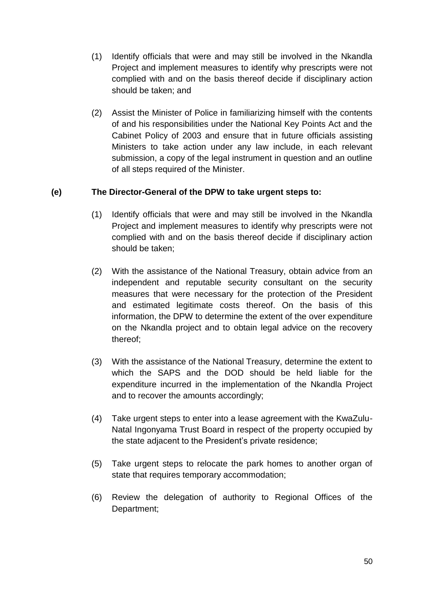- (1) Identify officials that were and may still be involved in the Nkandla Project and implement measures to identify why prescripts were not complied with and on the basis thereof decide if disciplinary action should be taken; and
- (2) Assist the Minister of Police in familiarizing himself with the contents of and his responsibilities under the National Key Points Act and the Cabinet Policy of 2003 and ensure that in future officials assisting Ministers to take action under any law include, in each relevant submission, a copy of the legal instrument in question and an outline of all steps required of the Minister.

## **(e) The Director-General of the DPW to take urgent steps to:**

- (1) Identify officials that were and may still be involved in the Nkandla Project and implement measures to identify why prescripts were not complied with and on the basis thereof decide if disciplinary action should be taken;
- (2) With the assistance of the National Treasury, obtain advice from an independent and reputable security consultant on the security measures that were necessary for the protection of the President and estimated legitimate costs thereof. On the basis of this information, the DPW to determine the extent of the over expenditure on the Nkandla project and to obtain legal advice on the recovery thereof;
- (3) With the assistance of the National Treasury, determine the extent to which the SAPS and the DOD should be held liable for the expenditure incurred in the implementation of the Nkandla Project and to recover the amounts accordingly;
- (4) Take urgent steps to enter into a lease agreement with the KwaZulu-Natal Ingonyama Trust Board in respect of the property occupied by the state adjacent to the President's private residence;
- (5) Take urgent steps to relocate the park homes to another organ of state that requires temporary accommodation;
- (6) Review the delegation of authority to Regional Offices of the Department;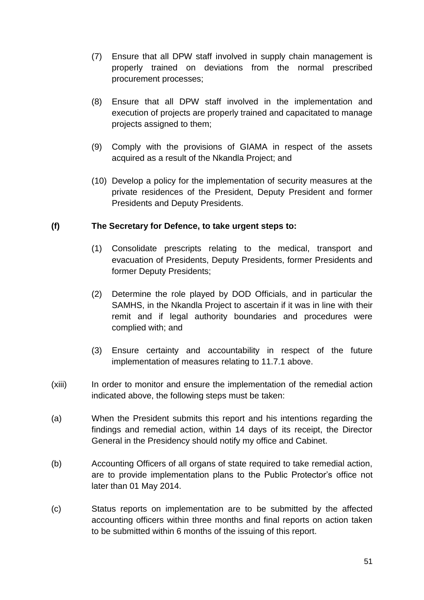- (7) Ensure that all DPW staff involved in supply chain management is properly trained on deviations from the normal prescribed procurement processes;
- (8) Ensure that all DPW staff involved in the implementation and execution of projects are properly trained and capacitated to manage projects assigned to them;
- (9) Comply with the provisions of GIAMA in respect of the assets acquired as a result of the Nkandla Project; and
- (10) Develop a policy for the implementation of security measures at the private residences of the President, Deputy President and former Presidents and Deputy Presidents.

### **(f) The Secretary for Defence, to take urgent steps to:**

- (1) Consolidate prescripts relating to the medical, transport and evacuation of Presidents, Deputy Presidents, former Presidents and former Deputy Presidents;
- (2) Determine the role played by DOD Officials, and in particular the SAMHS, in the Nkandla Project to ascertain if it was in line with their remit and if legal authority boundaries and procedures were complied with; and
- (3) Ensure certainty and accountability in respect of the future implementation of measures relating to 11.7.1 above.
- (xiii) In order to monitor and ensure the implementation of the remedial action indicated above, the following steps must be taken:
- (a) When the President submits this report and his intentions regarding the findings and remedial action, within 14 days of its receipt, the Director General in the Presidency should notify my office and Cabinet.
- (b) Accounting Officers of all organs of state required to take remedial action, are to provide implementation plans to the Public Protector's office not later than 01 May 2014.
- (c) Status reports on implementation are to be submitted by the affected accounting officers within three months and final reports on action taken to be submitted within 6 months of the issuing of this report.